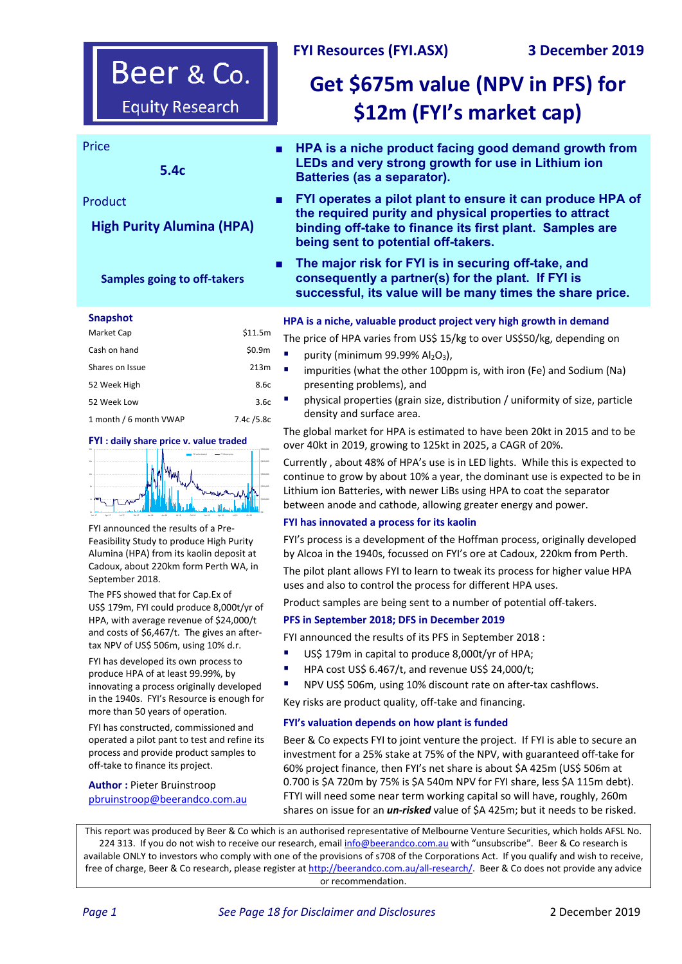## **FYI Resources (FYI.ASX) 3 December 2019**

# Beer & Co. **Equity Research**

**5.4c** 

## Product

## **High Purity Alumina (HPA)**

## **Samples going to off‐takers**

#### **Snapshot**

| Market Cap             | \$11.5m    |
|------------------------|------------|
| Cash on hand           | \$0.9m     |
| Shares on Issue        | 213m       |
| 52 Week High           | 8.6c       |
| 52 Week Low            | 3.6c       |
| 1 month / 6 month VWAP | 7.4c /5.8c |

#### **FYI : daily share price v. value traded**



FYI announced the results of a Pre‐ Feasibility Study to produce High Purity Alumina (HPA) from its kaolin deposit at Cadoux, about 220km form Perth WA, in September 2018.

The PFS showed that for Cap.Ex of US\$ 179m, FYI could produce 8,000t/yr of HPA, with average revenue of \$24,000/t and costs of \$6,467/t. The gives an after‐ tax NPV of US\$ 506m, using 10% d.r.

FYI has developed its own process to produce HPA of at least 99.99%, by innovating a process originally developed in the 1940s. FYI's Resource is enough for more than 50 years of operation.

FYI has constructed, commissioned and operated a pilot pant to test and refine its process and provide product samples to off‐take to finance its project.

**Author :** Pieter Bruinstroop pbruinstroop@beerandco.com.au

## Price ■ **HPA is a niche product facing good demand growth from LEDs and very strong growth for use in Lithium ion Batteries (as a separator).**

**Get \$675m value (NPV in PFS) for** 

**\$12m (FYI's market cap)**

- **FYI operates a pilot plant to ensure it can produce HPA of the required purity and physical properties to attract binding off-take to finance its first plant. Samples are being sent to potential off-takers.**
- The major risk for FYI is in securing off-take, and **consequently a partner(s) for the plant. If FYI is successful, its value will be many times the share price.**

### **HPA is a niche, valuable product project very high growth in demand**

The price of HPA varies from US\$ 15/kg to over US\$50/kg, depending on

- purity (minimum 99.99%  $Al<sub>2</sub>O<sub>3</sub>$ ),
- impurities (what the other 100ppm is, with iron (Fe) and Sodium (Na) presenting problems), and
- physical properties (grain size, distribution / uniformity of size, particle density and surface area.

The global market for HPA is estimated to have been 20kt in 2015 and to be over 40kt in 2019, growing to 125kt in 2025, a CAGR of 20%.

Currently , about 48% of HPA's use is in LED lights. While this is expected to continue to grow by about 10% a year, the dominant use is expected to be in Lithium ion Batteries, with newer LiBs using HPA to coat the separator between anode and cathode, allowing greater energy and power.

#### **FYI has innovated a process for its kaolin**

FYI's process is a development of the Hoffman process, originally developed by Alcoa in the 1940s, focussed on FYI's ore at Cadoux, 220km from Perth.

The pilot plant allows FYI to learn to tweak its process for higher value HPA uses and also to control the process for different HPA uses.

Product samples are being sent to a number of potential off-takers.

## **PFS in September 2018; DFS in December 2019**

FYI announced the results of its PFS in September 2018 :

- US\$ 179m in capital to produce 8,000t/yr of HPA;
- HPA cost US\$ 6.467/t, and revenue US\$ 24,000/t;
- NPV US\$ 506m, using 10% discount rate on after‐tax cashflows.

Key risks are product quality, off‐take and financing.

#### **FYI's valuation depends on how plant is funded**

Beer & Co expects FYI to joint venture the project. If FYI is able to secure an investment for a 25% stake at 75% of the NPV, with guaranteed off‐take for 60% project finance, then FYI's net share is about \$A 425m (US\$ 506m at 0.700 is \$A 720m by 75% is \$A 540m NPV for FYI share, less \$A 115m debt). FTYI will need some near term working capital so will have, roughly, 260m shares on issue for an *un-risked* value of \$A 425m; but it needs to be risked.

This report was produced by Beer & Co which is an authorised representative of Melbourne Venture Securities, which holds AFSL No. 224 313. If you do not wish to receive our research, email info@beerandco.com.au with "unsubscribe". Beer & Co research is available ONLY to investors who comply with one of the provisions of s708 of the Corporations Act. If you qualify and wish to receive, free of charge, Beer & Co research, please register at http://beerandco.com.au/all-research/. Beer & Co does not provide any advice or recommendation.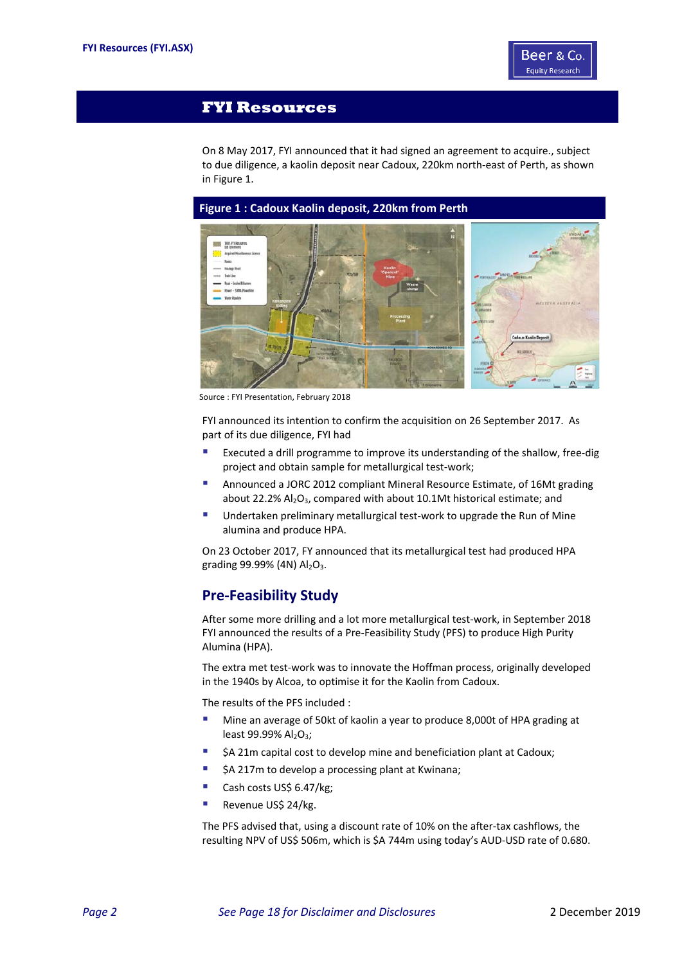

## **FYI Resources**

On 8 May 2017, FYI announced that it had signed an agreement to acquire., subject to due diligence, a kaolin deposit near Cadoux, 220km north‐east of Perth, as shown in Figure 1.



Source : FYI Presentation, February 2018

FYI announced its intention to confirm the acquisition on 26 September 2017. As part of its due diligence, FYI had

- Executed a drill programme to improve its understanding of the shallow, free-dig project and obtain sample for metallurgical test-work;
- Announced a JORC 2012 compliant Mineral Resource Estimate, of 16Mt grading about 22.2% Al<sub>2</sub>O<sub>3</sub>, compared with about 10.1Mt historical estimate; and
- Undertaken preliminary metallurgical test-work to upgrade the Run of Mine alumina and produce HPA.

On 23 October 2017, FY announced that its metallurgical test had produced HPA grading 99.99% (4N)  $Al_2O_3$ .

## **Pre‐Feasibility Study**

After some more drilling and a lot more metallurgical test‐work, in September 2018 FYI announced the results of a Pre‐Feasibility Study (PFS) to produce High Purity Alumina (HPA).

The extra met test-work was to innovate the Hoffman process, originally developed in the 1940s by Alcoa, to optimise it for the Kaolin from Cadoux.

The results of the PFS included :

- Mine an average of 50kt of kaolin a year to produce 8,000t of HPA grading at least 99.99% Al<sub>2</sub>O<sub>3</sub>;
- \$A 21m capital cost to develop mine and beneficiation plant at Cadoux;
- \$A 217m to develop a processing plant at Kwinana;
- Cash costs US\$ 6.47/kg;
- Revenue US\$ 24/kg.

The PFS advised that, using a discount rate of 10% on the after-tax cashflows, the resulting NPV of US\$ 506m, which is \$A 744m using today's AUD‐USD rate of 0.680.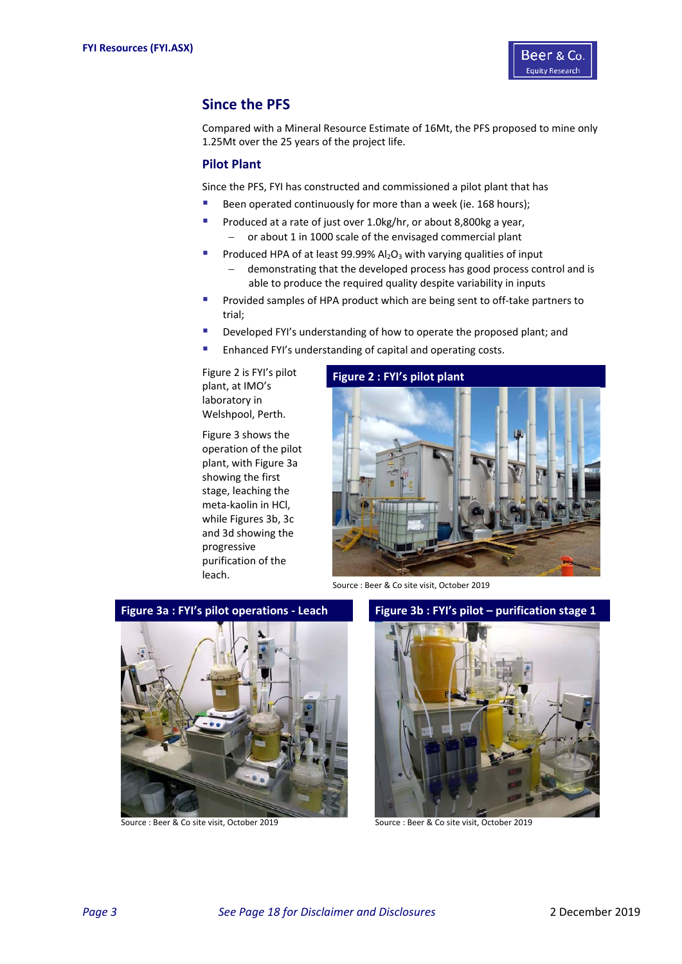

## **Since the PFS**

Compared with a Mineral Resource Estimate of 16Mt, the PFS proposed to mine only 1.25Mt over the 25 years of the project life.

## **Pilot Plant**

Since the PFS, FYI has constructed and commissioned a pilot plant that has

- Been operated continuously for more than a week (ie. 168 hours);
- Produced at a rate of just over 1.0kg/hr, or about 8,800kg a year,  $-$  or about 1 in 1000 scale of the envisaged commercial plant
- Produced HPA of at least 99.99%  $Al_2O_3$  with varying qualities of input demonstrating that the developed process has good process control and is able to produce the required quality despite variability in inputs
- Provided samples of HPA product which are being sent to off‐take partners to trial;
- Developed FYI's understanding of how to operate the proposed plant; and
- **Enhanced FYI's understanding of capital and operating costs.**

Figure 2 is FYI's pilot plant, at IMO's laboratory in Welshpool, Perth.

Figure 3 shows the operation of the pilot plant, with Figure 3a showing the first stage, leaching the meta‐kaolin in HCl, while Figures 3b, 3c and 3d showing the progressive purification of the leach.

## **Figure 2 : FYI's pilot plant**



Source : Beer & Co site visit, October 2019



**Figure 3a : FYI's pilot operations ‐ Leach Figure 3b : FYI's pilot – purification stage 1** 



Source : Beer & Co site visit, October 2019 Source : Beer & Co site visit, October 2019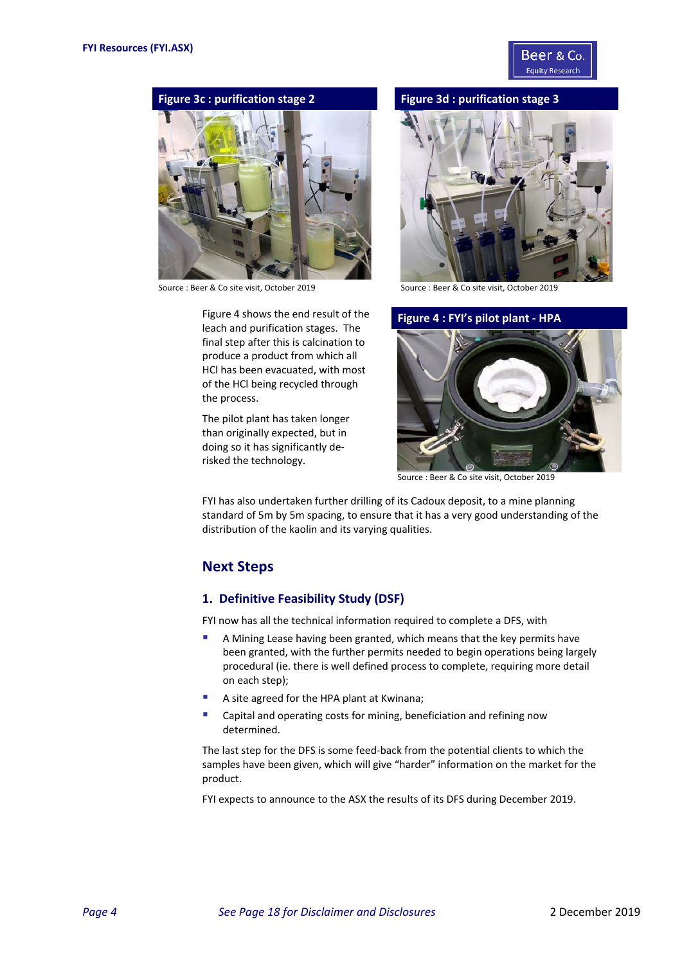



Source : Beer & Co site visit, October 2019 Source : Beer & Co site visit, October 2019

Figure 4 shows the end result of the leach and purification stages. The final step after this is calcination to produce a product from which all HCl has been evacuated, with most of the HCl being recycled through the process.

The pilot plant has taken longer than originally expected, but in doing so it has significantly de‐ risked the technology.







Source : Beer & Co site visit, October 2019

FYI has also undertaken further drilling of its Cadoux deposit, to a mine planning standard of 5m by 5m spacing, to ensure that it has a very good understanding of the distribution of the kaolin and its varying qualities.

## **Next Steps**

#### **1. Definitive Feasibility Study (DSF)**

FYI now has all the technical information required to complete a DFS, with

- A Mining Lease having been granted, which means that the key permits have been granted, with the further permits needed to begin operations being largely procedural (ie. there is well defined process to complete, requiring more detail on each step);
- A site agreed for the HPA plant at Kwinana;
- Capital and operating costs for mining, beneficiation and refining now determined.

The last step for the DFS is some feed‐back from the potential clients to which the samples have been given, which will give "harder" information on the market for the product.

FYI expects to announce to the ASX the results of its DFS during December 2019.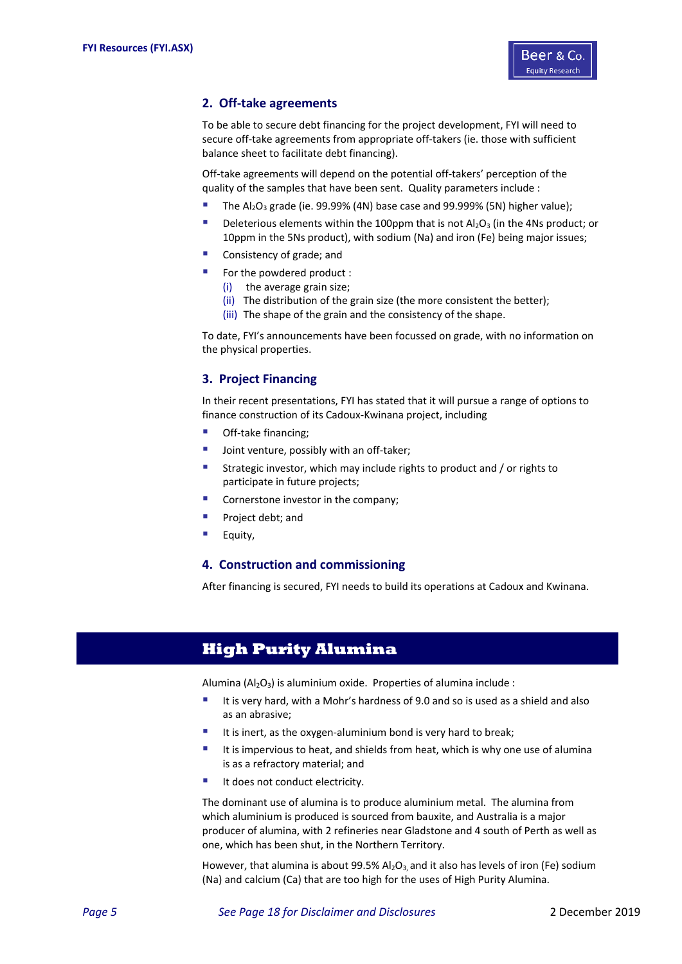

## **2. Off‐take agreements**

To be able to secure debt financing for the project development, FYI will need to secure off-take agreements from appropriate off-takers (ie. those with sufficient balance sheet to facilitate debt financing).

Off‐take agreements will depend on the potential off‐takers' perception of the quality of the samples that have been sent. Quality parameters include :

- The  $Al_2O_3$  grade (ie. 99.99% (4N) base case and 99.999% (5N) higher value);
- Deleterious elements within the 100ppm that is not  $Al_2O_3$  (in the 4Ns product; or 10ppm in the 5Ns product), with sodium (Na) and iron (Fe) being major issues;
- Consistency of grade; and
- For the powdered product :
	- (i) the average grain size;
	- (ii) The distribution of the grain size (the more consistent the better);
	- (iii) The shape of the grain and the consistency of the shape.

To date, FYI's announcements have been focussed on grade, with no information on the physical properties.

## **3. Project Financing**

In their recent presentations, FYI has stated that it will pursue a range of options to finance construction of its Cadoux‐Kwinana project, including

- Off-take financing;
- Joint venture, possibly with an off‐taker;
- Strategic investor, which may include rights to product and / or rights to participate in future projects;
- Cornerstone investor in the company;
- Project debt; and
- Equity,

#### **4. Construction and commissioning**

After financing is secured, FYI needs to build its operations at Cadoux and Kwinana.

## **High Purity Alumina**

Alumina ( $Al_2O_3$ ) is aluminium oxide. Properties of alumina include :

- It is very hard, with a Mohr's hardness of 9.0 and so is used as a shield and also as an abrasive;
- It is inert, as the oxygen-aluminium bond is very hard to break;
- It is impervious to heat, and shields from heat, which is why one use of alumina is as a refractory material; and
- It does not conduct electricity.

The dominant use of alumina is to produce aluminium metal. The alumina from which aluminium is produced is sourced from bauxite, and Australia is a major producer of alumina, with 2 refineries near Gladstone and 4 south of Perth as well as one, which has been shut, in the Northern Territory.

However, that alumina is about 99.5%  $Al_2O_3$  and it also has levels of iron (Fe) sodium (Na) and calcium (Ca) that are too high for the uses of High Purity Alumina.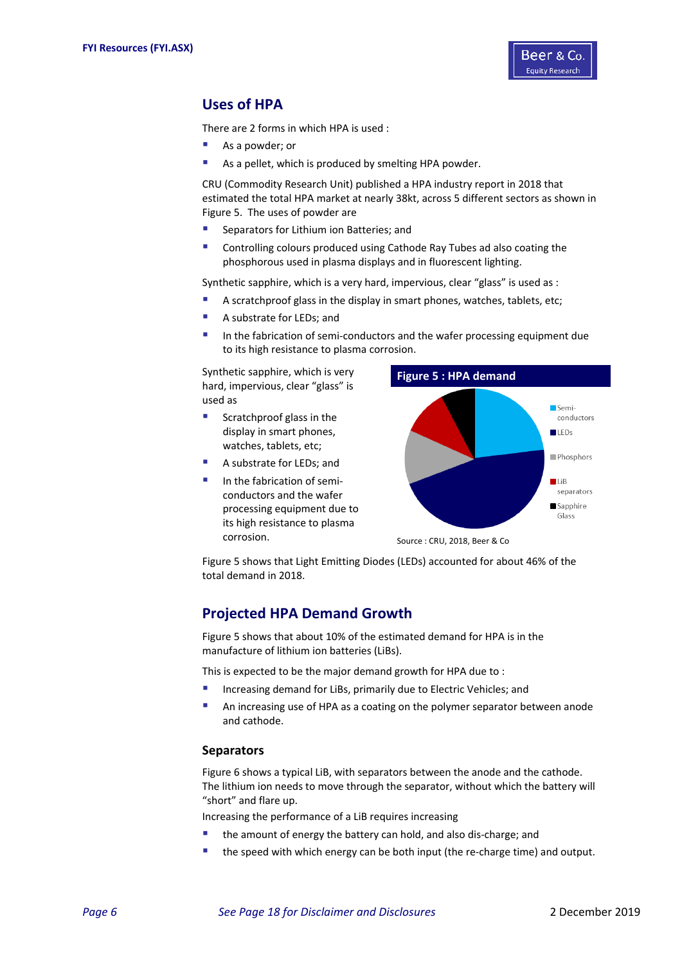

## **Uses of HPA**

There are 2 forms in which HPA is used :

- As a powder; or
- **As a pellet, which is produced by smelting HPA powder.**

CRU (Commodity Research Unit) published a HPA industry report in 2018 that estimated the total HPA market at nearly 38kt, across 5 different sectors as shown in Figure 5. The uses of powder are

- Separators for Lithium ion Batteries; and
- Controlling colours produced using Cathode Ray Tubes ad also coating the phosphorous used in plasma displays and in fluorescent lighting.

Synthetic sapphire, which is a very hard, impervious, clear "glass" is used as :

- A scratchproof glass in the display in smart phones, watches, tablets, etc;
- A substrate for LEDs; and
- In the fabrication of semi‐conductors and the wafer processing equipment due to its high resistance to plasma corrosion.

Synthetic sapphire, which is very hard, impervious, clear "glass" is used as

- Scratchproof glass in the display in smart phones, watches, tablets, etc;
- A substrate for LEDs; and
- In the fabrication of semi‐ conductors and the wafer processing equipment due to its high resistance to plasma corrosion.



Source : CRU, 2018, Beer & Co

Figure 5 shows that Light Emitting Diodes (LEDs) accounted for about 46% of the total demand in 2018.

## **Projected HPA Demand Growth**

Figure 5 shows that about 10% of the estimated demand for HPA is in the manufacture of lithium ion batteries (LiBs).

This is expected to be the major demand growth for HPA due to :

- Increasing demand for LiBs, primarily due to Electric Vehicles; and
- An increasing use of HPA as a coating on the polymer separator between anode and cathode.

## **Separators**

Figure 6 shows a typical LiB, with separators between the anode and the cathode. The lithium ion needs to move through the separator, without which the battery will "short" and flare up.

Increasing the performance of a LiB requires increasing

- the amount of energy the battery can hold, and also dis-charge: and
- the speed with which energy can be both input (the re-charge time) and output.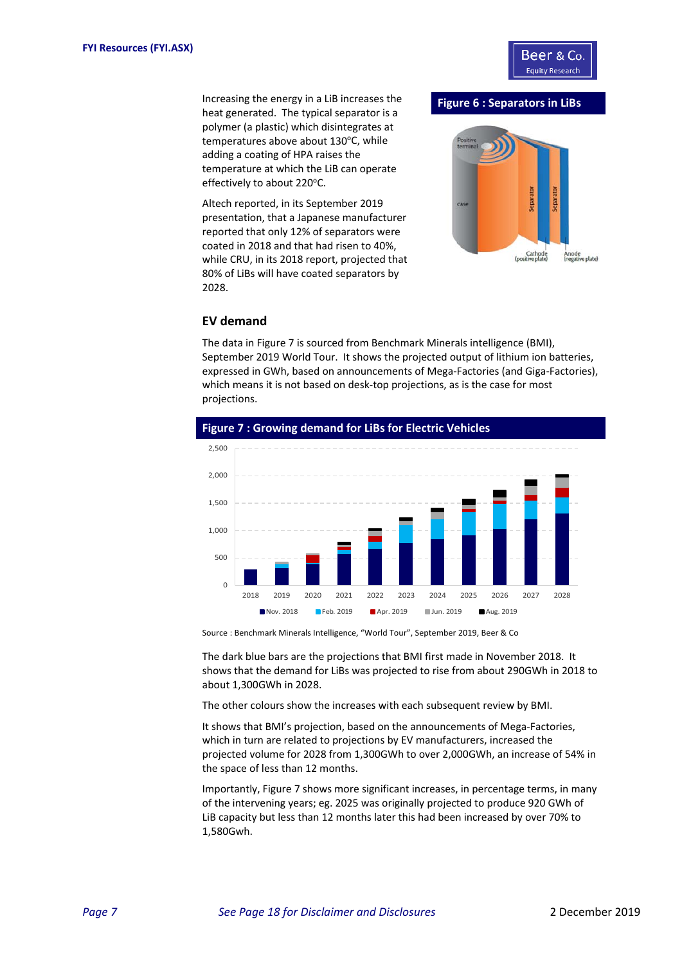

Increasing the energy in a LiB increases the heat generated. The typical separator is a polymer (a plastic) which disintegrates at temperatures above about 130°C, while adding a coating of HPA raises the temperature at which the LiB can operate effectively to about 220°C.

Altech reported, in its September 2019 presentation, that a Japanese manufacturer reported that only 12% of separators were coated in 2018 and that had risen to 40%, while CRU, in its 2018 report, projected that 80% of LiBs will have coated separators by 2028.

#### **Figure 6 : Separators in LiBs**



### **EV demand**

The data in Figure 7 is sourced from Benchmark Minerals intelligence (BMI), September 2019 World Tour. It shows the projected output of lithium ion batteries, expressed in GWh, based on announcements of Mega‐Factories (and Giga‐Factories), which means it is not based on desk-top projections, as is the case for most projections.



Source : Benchmark Minerals Intelligence, "World Tour", September 2019, Beer & Co

The dark blue bars are the projections that BMI first made in November 2018. It shows that the demand for LiBs was projected to rise from about 290GWh in 2018 to about 1,300GWh in 2028.

The other colours show the increases with each subsequent review by BMI.

It shows that BMI's projection, based on the announcements of Mega-Factories, which in turn are related to projections by EV manufacturers, increased the projected volume for 2028 from 1,300GWh to over 2,000GWh, an increase of 54% in the space of less than 12 months.

Importantly, Figure 7 shows more significant increases, in percentage terms, in many of the intervening years; eg. 2025 was originally projected to produce 920 GWh of LiB capacity but less than 12 months later this had been increased by over 70% to 1,580Gwh.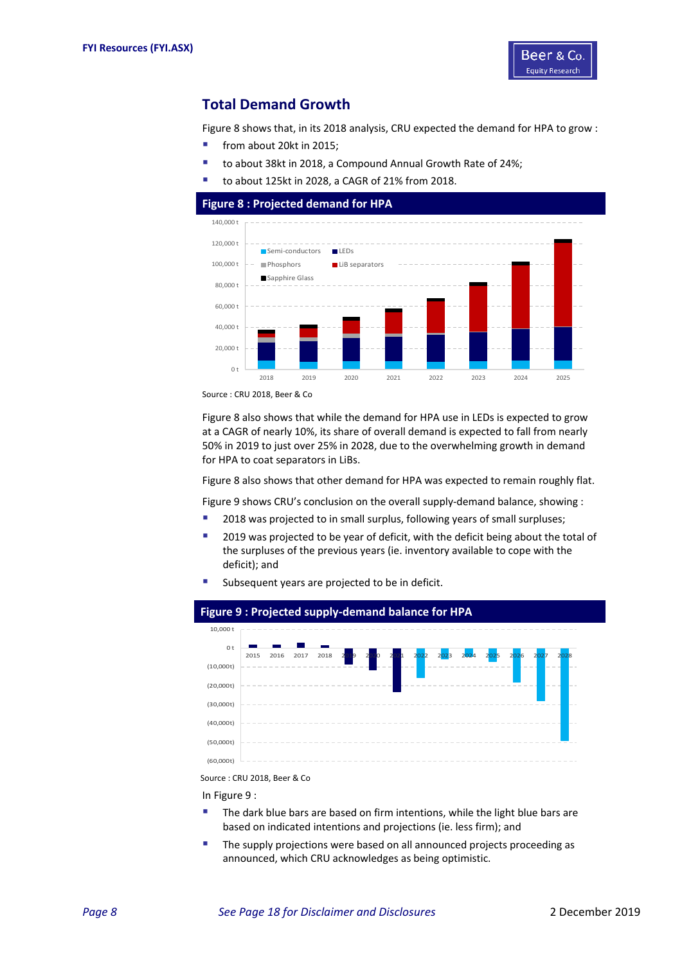

## **Total Demand Growth**

Figure 8 shows that, in its 2018 analysis, CRU expected the demand for HPA to grow :

- from about 20kt in 2015;
- to about 38kt in 2018, a Compound Annual Growth Rate of 24%;
- to about 125kt in 2028, a CAGR of 21% from 2018.

### **Figure 8 : Projected demand for HPA**



Source : CRU 2018, Beer & Co

Figure 8 also shows that while the demand for HPA use in LEDs is expected to grow at a CAGR of nearly 10%, its share of overall demand is expected to fall from nearly 50% in 2019 to just over 25% in 2028, due to the overwhelming growth in demand for HPA to coat separators in LiBs.

Figure 8 also shows that other demand for HPA was expected to remain roughly flat.

Figure 9 shows CRU's conclusion on the overall supply‐demand balance, showing :

- <sup>2</sup> 2018 was projected to in small surplus, following years of small surpluses;
- **2019** was projected to be year of deficit, with the deficit being about the total of the surpluses of the previous years (ie. inventory available to cope with the deficit); and
- Subsequent years are projected to be in deficit.



Source : CRU 2018, Beer & Co

In Figure 9 :

- The dark blue bars are based on firm intentions, while the light blue bars are based on indicated intentions and projections (ie. less firm); and
- **The supply projections were based on all announced projects proceeding as** announced, which CRU acknowledges as being optimistic.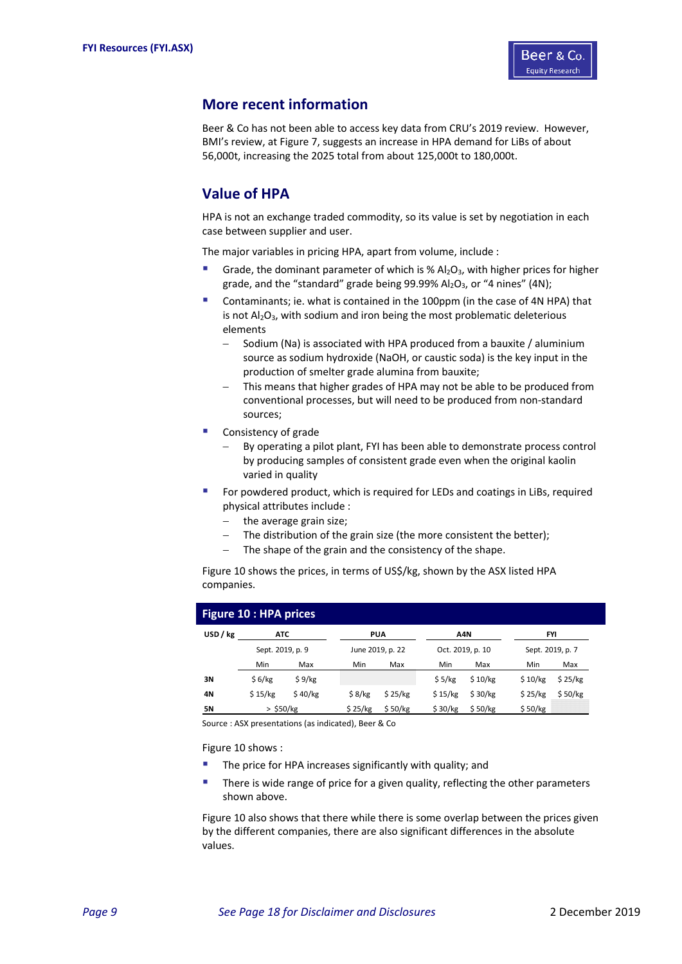

## **More recent information**

Beer & Co has not been able to access key data from CRU's 2019 review. However, BMI's review, at Figure 7, suggests an increase in HPA demand for LiBs of about 56,000t, increasing the 2025 total from about 125,000t to 180,000t.

## **Value of HPA**

HPA is not an exchange traded commodity, so its value is set by negotiation in each case between supplier and user.

The major variables in pricing HPA, apart from volume, include :

- Grade, the dominant parameter of which is %  $Al_2O_3$ , with higher prices for higher grade, and the "standard" grade being 99.99%  $Al_2O_3$ , or "4 nines" (4N);
- Contaminants; ie. what is contained in the 100ppm (in the case of 4N HPA) that is not  $Al_2O_3$ , with sodium and iron being the most problematic deleterious elements
	- Sodium (Na) is associated with HPA produced from a bauxite / aluminium source as sodium hydroxide (NaOH, or caustic soda) is the key input in the production of smelter grade alumina from bauxite;
	- This means that higher grades of HPA may not be able to be produced from conventional processes, but will need to be produced from non‐standard sources;
- Consistency of grade
	- By operating a pilot plant, FYI has been able to demonstrate process control by producing samples of consistent grade even when the original kaolin varied in quality
- For powdered product, which is required for LEDs and coatings in LiBs, required physical attributes include :
	- the average grain size;
	- The distribution of the grain size (the more consistent the better);
	- The shape of the grain and the consistency of the shape.

Figure 10 shows the prices, in terms of US\$/kg, shown by the ASX listed HPA companies.

| <b>Figure 10 : HPA prices</b> |                  |         |         |                  |         |                  |         |                  |  |  |  |
|-------------------------------|------------------|---------|---------|------------------|---------|------------------|---------|------------------|--|--|--|
| USD / kg                      | <b>ATC</b>       |         |         | <b>PUA</b>       |         | A4N              |         | <b>FYI</b>       |  |  |  |
|                               | Sept. 2019, p. 9 |         |         | June 2019, p. 22 |         | Oct. 2019, p. 10 |         | Sept. 2019, p. 7 |  |  |  |
|                               | Min              | Max     | Min     | Max              | Min     | Max              | Min     | Max              |  |  |  |
| 3N                            | \$6/kg           | \$9/kg  |         |                  | \$5/kg  | \$10/kg          | \$10/kg | \$25/kg          |  |  |  |
| 4Ν                            | \$15/kg          | \$40/kg | \$8/kg  | \$25/kg          | \$15/kg | \$30/kg          | \$25/kg | \$50/kg          |  |  |  |
| 5Ν                            | $>$ \$50/kg      |         | \$25/kg | \$50/kg          | \$30/kg | \$50/kg          | \$50/kg |                  |  |  |  |

Source : ASX presentations (as indicated), Beer & Co

Figure 10 shows :

- The price for HPA increases significantly with quality; and
- There is wide range of price for a given quality, reflecting the other parameters shown above.

Figure 10 also shows that there while there is some overlap between the prices given by the different companies, there are also significant differences in the absolute values.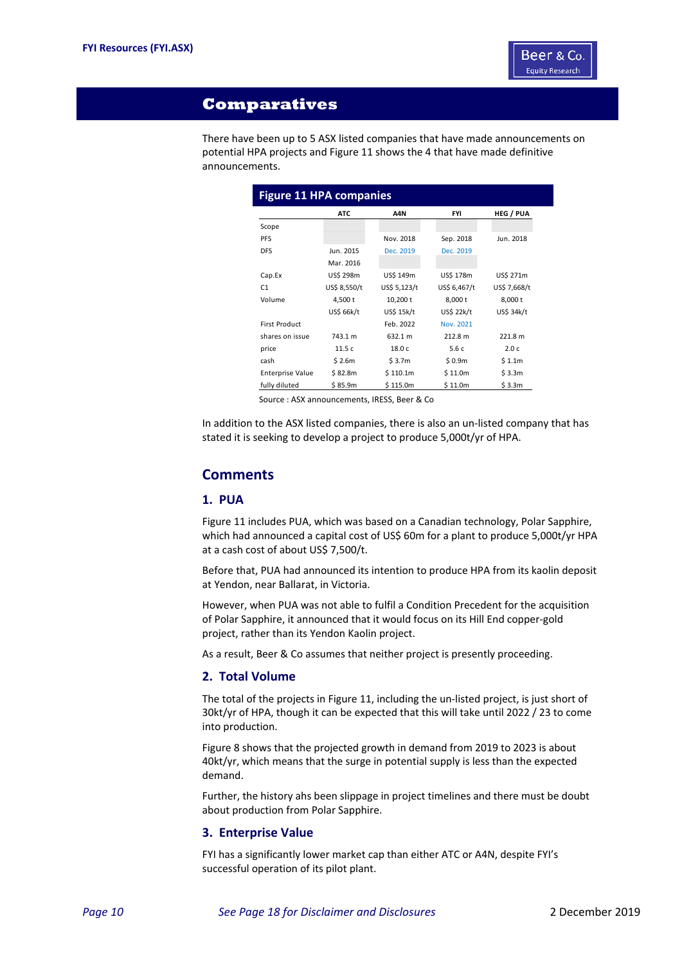

## **Comparatives**

There have been up to 5 ASX listed companies that have made announcements on potential HPA projects and Figure 11 shows the 4 that have made definitive announcements.

| <b>Figure 11 HPA companies</b> |              |              |              |                  |
|--------------------------------|--------------|--------------|--------------|------------------|
|                                | <b>ATC</b>   | A4N          | <b>FYI</b>   | <b>HEG / PUA</b> |
| Scope                          |              |              |              |                  |
| <b>PFS</b>                     |              | Nov. 2018    | Sep. 2018    | Jun. 2018        |
| <b>DFS</b>                     | Jun. 2015    | Dec. 2019    | Dec. 2019    |                  |
|                                | Mar. 2016    |              |              |                  |
| Cap.Ex                         | US\$ 298m    | US\$ 149m    | US\$ 178m    | US\$ 271m        |
| C1                             | US\$ 8,550/t | US\$ 5,123/t | US\$ 6,467/t | US\$ 7,668/t     |
| Volume                         | 4,500 t      | $10,200$ t   | 8,000 t      | 8,000 t          |
|                                | US\$ 66k/t   | US\$ 15k/t   | US\$ 22k/t   | US\$ 34k/t       |
| <b>First Product</b>           |              | Feb. 2022    | Nov. 2021    |                  |
| shares on issue                | 743.1 m      | 632.1 m      | 212.8 m      | 221.8 m          |
| price                          | 11.5 c       | 18.0 c       | 5.6c         | 2.0 <sub>c</sub> |
| cash                           | \$2.6m       | \$3.7m       | \$0.9m       | \$1.1m           |
| <b>Enterprise Value</b>        | \$82.8m      | \$110.1m     | \$11.0m      | \$3.3m           |
| fully diluted                  | \$85.9m      | \$115.0m     | \$11.0m      | \$3.3m           |

Source : ASX announcements, IRESS, Beer & Co

In addition to the ASX listed companies, there is also an un‐listed company that has stated it is seeking to develop a project to produce 5,000t/yr of HPA.

## **Comments**

## **1. PUA**

Figure 11 includes PUA, which was based on a Canadian technology, Polar Sapphire, which had announced a capital cost of US\$ 60m for a plant to produce 5,000t/yr HPA at a cash cost of about US\$ 7,500/t.

Before that, PUA had announced its intention to produce HPA from its kaolin deposit at Yendon, near Ballarat, in Victoria.

However, when PUA was not able to fulfil a Condition Precedent for the acquisition of Polar Sapphire, it announced that it would focus on its Hill End copper‐gold project, rather than its Yendon Kaolin project.

As a result, Beer & Co assumes that neither project is presently proceeding.

#### **2. Total Volume**

The total of the projects in Figure 11, including the un-listed project, is just short of 30kt/yr of HPA, though it can be expected that this will take until 2022 / 23 to come into production.

Figure 8 shows that the projected growth in demand from 2019 to 2023 is about 40kt/yr, which means that the surge in potential supply is less than the expected demand.

Further, the history ahs been slippage in project timelines and there must be doubt about production from Polar Sapphire.

## **3. Enterprise Value**

FYI has a significantly lower market cap than either ATC or A4N, despite FYI's successful operation of its pilot plant.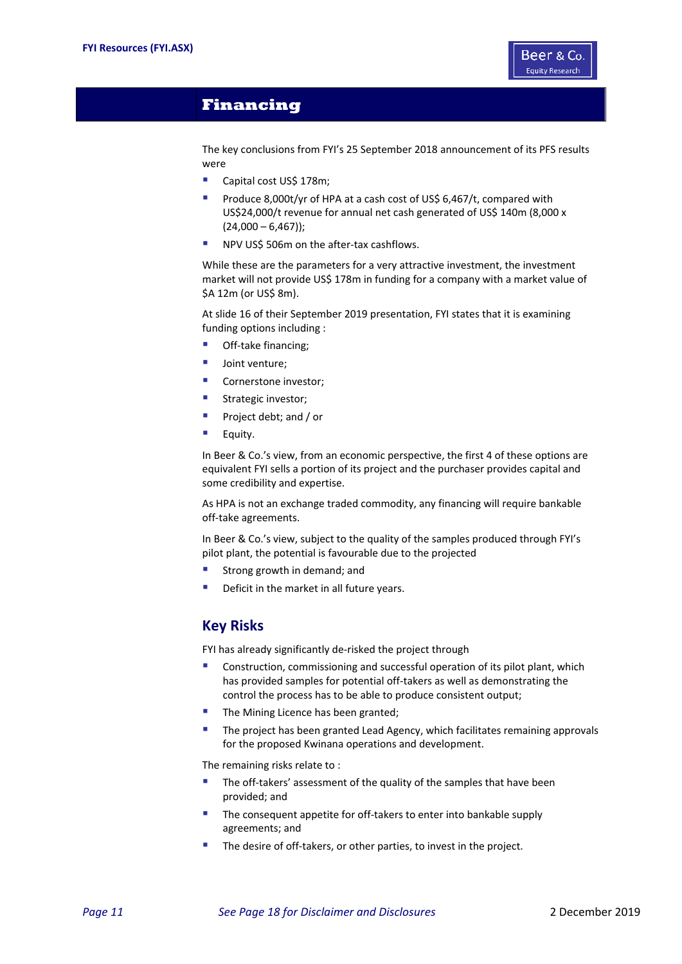

## **Financing**

The key conclusions from FYI's 25 September 2018 announcement of its PFS results were

- Capital cost US\$ 178m;
- Produce 8,000t/yr of HPA at a cash cost of US\$ 6,467/t, compared with US\$24,000/t revenue for annual net cash generated of US\$ 140m (8,000 x  $(24,000 - 6,467)$ ;
- NPV US\$ 506m on the after‐tax cashflows.

While these are the parameters for a very attractive investment, the investment market will not provide US\$ 178m in funding for a company with a market value of \$A 12m (or US\$ 8m).

At slide 16 of their September 2019 presentation, FYI states that it is examining funding options including :

- Off-take financing;
- **Joint venture:**
- Cornerstone investor;
- Strategic investor;
- **Project debt; and / or**
- $\blacksquare$  Equity.

In Beer & Co.'s view, from an economic perspective, the first 4 of these options are equivalent FYI sells a portion of its project and the purchaser provides capital and some credibility and expertise.

As HPA is not an exchange traded commodity, any financing will require bankable off-take agreements.

In Beer & Co.'s view, subject to the quality of the samples produced through FYI's pilot plant, the potential is favourable due to the projected

- Strong growth in demand; and
- Deficit in the market in all future years.

## **Key Risks**

FYI has already significantly de‐risked the project through

- Construction, commissioning and successful operation of its pilot plant, which has provided samples for potential off-takers as well as demonstrating the control the process has to be able to produce consistent output;
- **The Mining Licence has been granted;**
- The project has been granted Lead Agency, which facilitates remaining approvals for the proposed Kwinana operations and development.

The remaining risks relate to :

- The off-takers' assessment of the quality of the samples that have been provided; and
- The consequent appetite for off-takers to enter into bankable supply agreements; and
- The desire of off-takers, or other parties, to invest in the project.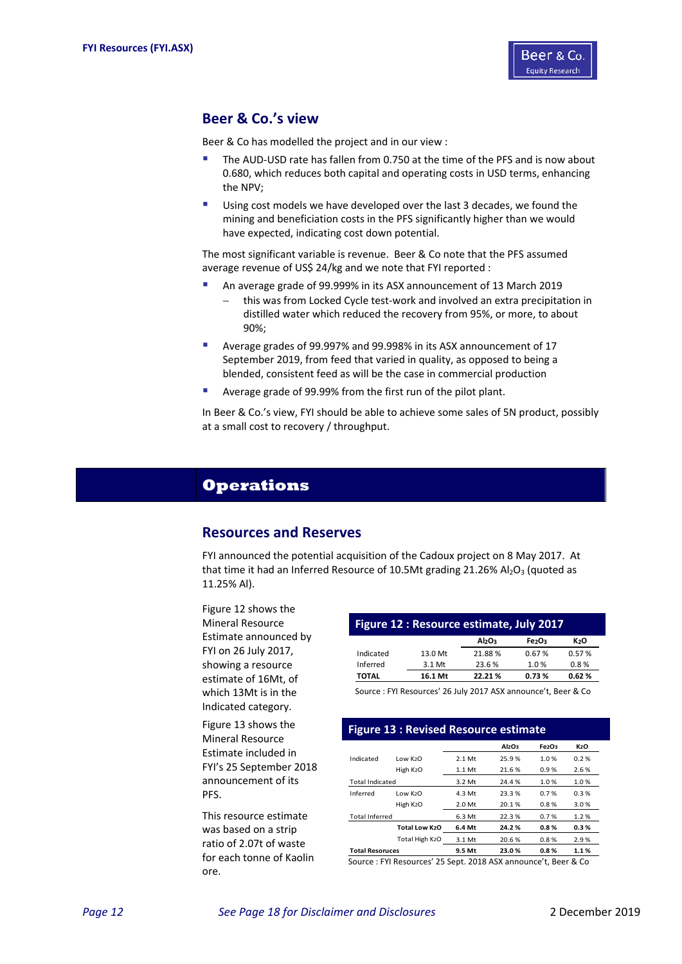

## **Beer & Co.'s view**

Beer & Co has modelled the project and in our view :

- The AUD‐USD rate has fallen from 0.750 at the time of the PFS and is now about 0.680, which reduces both capital and operating costs in USD terms, enhancing the NPV;
- Using cost models we have developed over the last 3 decades, we found the mining and beneficiation costs in the PFS significantly higher than we would have expected, indicating cost down potential.

The most significant variable is revenue. Beer & Co note that the PFS assumed average revenue of US\$ 24/kg and we note that FYI reported :

- An average grade of 99.999% in its ASX announcement of 13 March 2019
	- this was from Locked Cycle test‐work and involved an extra precipitation in distilled water which reduced the recovery from 95%, or more, to about 90%;
- Average grades of 99.997% and 99.998% in its ASX announcement of 17 September 2019, from feed that varied in quality, as opposed to being a blended, consistent feed as will be the case in commercial production
- **Average grade of 99.99% from the first run of the pilot plant.**

In Beer & Co.'s view, FYI should be able to achieve some sales of 5N product, possibly at a small cost to recovery / throughput.

## **Operations**

## **Resources and Reserves**

FYI announced the potential acquisition of the Cadoux project on 8 May 2017. At that time it had an Inferred Resource of 10.5Mt grading 21.26%  $Al_2O_3$  (quoted as 11.25% Al).

Figure 12 shows the Mineral Resource Estimate announced by FYI on 26 July 2017, showing a resource estimate of 16Mt, of which 13Mt is in the Indicated category.

Figure 13 shows the Mineral Resource Estimate included in FYI's 25 September 2018 announcement of its PFS.

This resource estimate was based on a strip ratio of 2.07t of waste for each tonne of Kaolin ore.

| Figure 12 : Resource estimate, July 2017 |          |                                |       |                  |  |  |  |  |  |  |  |
|------------------------------------------|----------|--------------------------------|-------|------------------|--|--|--|--|--|--|--|
|                                          |          | Al <sub>2</sub> O <sub>3</sub> | Fe2O3 | K <sub>2</sub> O |  |  |  |  |  |  |  |
| Indicated                                | 13.0 Mt  | 21.88%                         | 0.67% | 0.57%            |  |  |  |  |  |  |  |
| Inferred                                 | $3.1$ Mt | 23.6%                          | 1.0%  | 0.8%             |  |  |  |  |  |  |  |
| <b>TOTAL</b>                             | 16.1 Mt  | 22.21%                         | 0.73% | 0.62%            |  |  |  |  |  |  |  |

Source : FYI Resources' 26 July 2017 ASX announce't, Beer & Co

| <b>Figure 13: Revised Resource estimate</b> |                       |          |                                |       |      |  |  |  |  |  |  |
|---------------------------------------------|-----------------------|----------|--------------------------------|-------|------|--|--|--|--|--|--|
|                                             |                       |          | Al <sub>2</sub> O <sub>3</sub> | Fe2O3 | K2O  |  |  |  |  |  |  |
| Indicated                                   | $Low$ $K2O$           | $2.1$ Mt | 25.9%                          | 1.0%  | 0.2% |  |  |  |  |  |  |
|                                             | High K <sub>2</sub> O | $1.1$ Mt | 21.6%                          | 0.9%  | 2.6% |  |  |  |  |  |  |
| <b>Total Indicated</b>                      |                       | 3.2 Mt   | 24.4%                          | 1.0%  | 1.0% |  |  |  |  |  |  |
| Inferred                                    | $Low$ $K2O$           | 4.3 Mt   | 23.3%                          | 0.7%  | 0.3% |  |  |  |  |  |  |
|                                             | High K <sub>2</sub> O | 2.0 Mt   | 20.1%                          | 0.8%  | 3.0% |  |  |  |  |  |  |
| <b>Total Inferred</b>                       |                       | 6.3 Mt   | 22.3%                          | 0.7%  | 1.2% |  |  |  |  |  |  |
|                                             | Total Low K2O         | 6.4 Mt   | 24.2%                          | 0.8%  | 0.3% |  |  |  |  |  |  |
|                                             | Total High K2O        | 3.1 Mt   | 20.6%                          | 0.8%  | 2.9% |  |  |  |  |  |  |
| <b>Total Resoruces</b>                      |                       | 9.5 Mt   | 23.0%                          | 0.8%  | 1.1% |  |  |  |  |  |  |

Source : FYI Resources' 25 Sept. 2018 ASX announce't, Beer & Co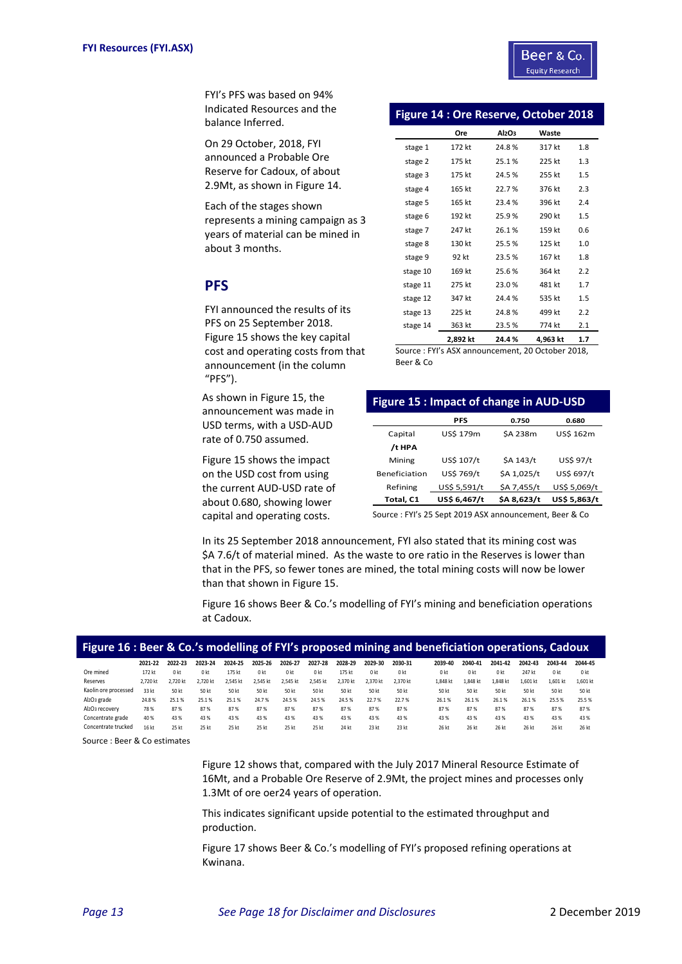FYI's PFS was based on 94% Indicated Resources and the balance Inferred.

On 29 October, 2018, FYI announced a Probable Ore Reserve for Cadoux, of about 2.9Mt, as shown in Figure 14.

Each of the stages shown represents a mining campaign as 3 years of material can be mined in about 3 months.

## **PFS**

FYI announced the results of its PFS on 25 September 2018. Figure 15 shows the key capital cost and operating costs from that announcement (in the column "PFS").

As shown in Figure 15, the announcement was made in USD terms, with a USD‐AUD rate of 0.750 assumed.

Figure 15 shows the impact on the USD cost from using the current AUD‐USD rate of about 0.680, showing lower capital and operating costs.

| <b>Figure 14: Ore Reserve, October 2018</b> |  |  |
|---------------------------------------------|--|--|
|---------------------------------------------|--|--|

|          | Ore      | Al <sub>2</sub> O <sub>3</sub> | Waste    |     |
|----------|----------|--------------------------------|----------|-----|
| stage 1  | 172 kt   | 24.8%                          | 317 kt   | 1.8 |
| stage 2  | 175 kt   | 25.1%                          | 225 kt   | 1.3 |
| stage 3  | 175 kt   | 24.5 %                         | 255 kt   | 1.5 |
| stage 4  | 165 kt   | 22.7%                          | 376 kt   | 2.3 |
| stage 5  | 165 kt   | 23.4 %                         | 396 kt   | 2.4 |
| stage 6  | 192 kt   | 25.9%                          | 290 kt   | 1.5 |
| stage 7  | 247 kt   | 26.1%                          | 159 kt   | 0.6 |
| stage 8  | 130 kt   | 25.5%                          | 125 kt   | 1.0 |
| stage 9  | 92 kt    | 23.5%                          | 167 kt   | 1.8 |
| stage 10 | 169 kt   | 25.6%                          | 364 kt   | 2.2 |
| stage 11 | 275 kt   | 23.0%                          | 481 kt   | 1.7 |
| stage 12 | 347 kt   | 24.4 %                         | 535 kt   | 1.5 |
| stage 13 | 225 kt   | 24.8%                          | 499 kt   | 2.2 |
| stage 14 | 363 kt   | 23.5%                          | 774 kt   | 2.1 |
|          | 2,892 kt | 24.4%                          | 4,963 kt | 1.7 |

Source : FYI's ASX announcement, 20 October 2018, Beer & Co

## **Figure 15 : Impact of change in AUD‐USD**

|                      | <b>PFS</b>   | 0.750          | 0.680        |
|----------------------|--------------|----------------|--------------|
| Capital              | US\$ 179m    | <b>SA 238m</b> | US\$ 162m    |
| /t HPA               |              |                |              |
| Mining               | US\$ 107/t   | \$A 143/t      | US\$ 97/t    |
| <b>Beneficiation</b> | US\$ 769/t   | \$A 1,025/t    | US\$ 697/t   |
| Refining             | US\$ 5,591/t | \$A 7,455/t    | US\$ 5,069/t |
| Total, C1            | US\$ 6,467/t | \$A 8,623/t    | US\$ 5,863/t |

Source : FYI's 25 Sept 2019 ASX announcement, Beer & Co

In its 25 September 2018 announcement, FYI also stated that its mining cost was \$A 7.6/t of material mined. As the waste to ore ratio in the Reserves is lower than that in the PFS, so fewer tones are mined, the total mining costs will now be lower than that shown in Figure 15.

Figure 16 shows Beer & Co.'s modelling of FYI's mining and beneficiation operations at Cadoux.

| Figure 16 : Beer & Co.'s modelling of FYI's proposed mining and beneficiation operations, Cadoux |          |                 |                |          |                 |                |                 |          |                 |                 |                |                |                 |          |                |          |
|--------------------------------------------------------------------------------------------------|----------|-----------------|----------------|----------|-----------------|----------------|-----------------|----------|-----------------|-----------------|----------------|----------------|-----------------|----------|----------------|----------|
|                                                                                                  | 2021-22  | 2022-23         | 2023-24        | 2024-25  | 2025-26         | 2026-27        | 2027-28         | 2028-29  | 2029-30         | 2030-31         | 2039-40        | 2040-41        | 2041-42         | 2042-43  | 2043-44        | 2044-45  |
| Ore mined                                                                                        | 172 kt   | 0 <sub>kt</sub> | 0 <sub>k</sub> | 175 kt   | 0 <sub>kt</sub> | 0 <sub>k</sub> | 0 <sub>kt</sub> | 175 kt   | 0 <sub>kt</sub> | 0 <sub>kt</sub> | 0 <sub>k</sub> | 0 <sub>k</sub> | 0 <sub>kt</sub> | 247 kt   | 0 <sub>k</sub> | 0 kt     |
| Reserves                                                                                         | 2.720 kt | 2.720 kt        | 2.720 kt       | 2.545 kt | 2.545 kt        | 2.545 kt       | 2.545 kt        | 2.370 kt | 2.370 kt        | 2.370 kt        | 1.848 kt       | 1,848 kt       | 1.848 kt        | 1,601 kt | 1.601 kt       | 1,601 kt |
| Kaolin ore processed                                                                             | 33 kt    | 50 kt           | 50 kt          | 50 kt    | 50 kt           | 50 kt          | 50 kt           | 50 kt    | 50 kt           | 50 kt           | 50 kt          | 50 kt          | 50 kt           | 50 kt    | 50 kt          | 50 kt    |
| Al <sub>2</sub> O <sub>3</sub> grade                                                             | 24.8%    | 25.1%           | 25.1%          | 25.1%    | 24.7%           | 24.5%          | 24.5%           | 24.5%    | 22.7%           | 22.7%           | 26.1%          | 26.1%          | 26.1%           | 26.1%    | 25.5%          | 25.5%    |
| Al2O3 recovery                                                                                   | 78%      | 87%             | 87%            | 87%      | 87%             | 87%            | 87%             | 87%      | 87%             | 87%             | 87%            | 87%            | 87%             | 87%      | 87%            | 87%      |
| Concentrate grade                                                                                | 40 %     | 43 %            | 43 %           | 43 %     | 43%             | 43 %           | 43 %            | 43 %     | 43 %            | 43 %            | 43 %           | 43 %           | 43 %            | 43%      | 43 %           | 43 %     |
| Concentrate trucked                                                                              | 16 kt    | 25 kt           | 25 kt          | 25 kt    | 25 kt           | 25 kt          | 25 kt           | 24 kt    | 23 kt           | 23 kt           | 26 kt          | 26 kt          | 26 kt           | 26 kt    | 26 kt          | 26 kt    |

Source : Beer & Co estimates

Figure 12 shows that, compared with the July 2017 Mineral Resource Estimate of 16Mt, and a Probable Ore Reserve of 2.9Mt, the project mines and processes only 1.3Mt of ore oer24 years of operation.

This indicates significant upside potential to the estimated throughput and production.

Figure 17 shows Beer & Co.'s modelling of FYI's proposed refining operations at Kwinana.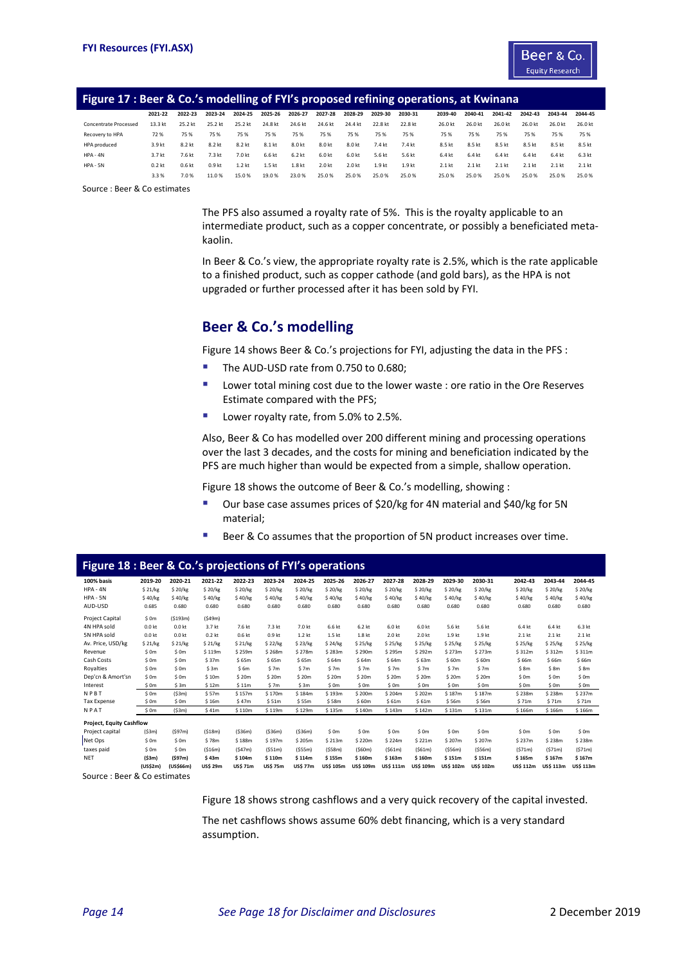

#### **Figure 17 : Beer & Co.'s modelling of FYI's proposed refining operations, at Kwinana**

| 2021-22           | 2022-23 | 2023-24           | 2024-25           | 2025-26           | 2026-27 | 2027-28 | 2028-29 | 2029-30 | 2030-31           | 2039-40  | 2040-41  | 2041-42  | 2042-43  | 2043-44  | 2044-45 |
|-------------------|---------|-------------------|-------------------|-------------------|---------|---------|---------|---------|-------------------|----------|----------|----------|----------|----------|---------|
| 13.3 kt           | 25.2 kt | 25.2 kt           | 25.2 kt           | 24.8 kt           | 24.6 kt | 24.6 kt | 24.4 kt | 22.8 kt | 22.8 kt           | 26.0 kt  | 26.0 kt  | 26.0 kt  | 26.0 kt  | 26.0 kt  | 26.0 kt |
| 72%               | 75%     | 75 %              | 75%               | 75 %              | 75 %    | 75 %    | 75 %    | 75 %    | 75 %              | 75%      | 75%      | 75%      | 75 %     | 75 %     | 75%     |
| 3.9 kt            | 8.2 kt  | 8.2 kt            | 8.2 kt            | 8.1 kt            | 8.0 kt  | 8.0 kt  | 8.0 kt  | 7.4 kt  | 7.4 kt            | 8.5 kt   | 8.5 kt   | 8.5 kt   | 8.5 kt   | 8.5 kt   | 8.5 kt  |
| 3.7 <sub>kt</sub> | 7.6 kt  | 7.3 kt            | 7.0 kt            | 6.6 kt            | 6.2 kt  | 6.0 kt  | 6.0 kt  | 5.6 kt  | 5.6 kt            | 6.4 kt   | 6.4 kt   | 6.4 kt   | 6.4 kt   | 6.4 kt   | 6.3 kt  |
| 0.2 <sub>kt</sub> | 0.6 kt  | 0.9 <sub>kt</sub> | 1.2 <sub>kt</sub> | 1.5 <sub>kt</sub> | 1.8 kt  | 2.0 kt  | 2.0 kt  | 1.9 kt  | 1.9 <sub>kt</sub> | $2.1$ kt | $2.1$ kt | $2.1$ kt | $2.1$ kt | $2.1$ kt | 2.1 kt  |
| 3.3%              | 7.0%    | 11.0%             | 15.0%             | 19.0%             | 23.0%   | 25.0%   | 25.0%   | 25.0%   | 25.0%             | 25.0%    | 25.0%    | 25.0%    | 25.0%    | 25.0%    | 25.0%   |
|                   |         |                   |                   |                   |         |         |         |         |                   |          |          |          |          |          |         |

Source : Beer & Co estimates

The PFS also assumed a royalty rate of 5%. This is the royalty applicable to an intermediate product, such as a copper concentrate, or possibly a beneficiated metakaolin.

In Beer & Co.'s view, the appropriate royalty rate is 2.5%, which is the rate applicable to a finished product, such as copper cathode (and gold bars), as the HPA is not upgraded or further processed after it has been sold by FYI.

## **Beer & Co.'s modelling**

Figure 14 shows Beer & Co.'s projections for FYI, adjusting the data in the PFS :

- The AUD‐USD rate from 0.750 to 0.680;
- Lower total mining cost due to the lower waste : ore ratio in the Ore Reserves Estimate compared with the PFS;
- **Lower royalty rate, from 5.0% to 2.5%.**

Also, Beer & Co has modelled over 200 different mining and processing operations over the last 3 decades, and the costs for mining and beneficiation indicated by the PFS are much higher than would be expected from a simple, shallow operation.

Figure 18 shows the outcome of Beer & Co.'s modelling, showing :

- Our base case assumes prices of \$20/kg for 4N material and \$40/kg for 5N material;
- Beer & Co assumes that the proportion of 5N product increases over time.

| Figure 18 : Beer & Co.'s projections of FYI's operations |                   |                   |                |                   |                 |                 |                  |                  |                  |           |                    |                  |                  |                  |                  |
|----------------------------------------------------------|-------------------|-------------------|----------------|-------------------|-----------------|-----------------|------------------|------------------|------------------|-----------|--------------------|------------------|------------------|------------------|------------------|
| 100% basis                                               | 2019-20           | 2020-21           | 2021-22        | 2022-23           | 2023-24         | 2024-25         | 2025-26          | 2026-27          | 2027-28          | 2028-29   | 2029-30            | 2030-31          | 2042-43          | 2043-44          | 2044-45          |
| $HPA - 4N$                                               | \$21/kg           | \$20/kg           | \$20/kg        | \$20/kg           | \$20/kg         | \$ 20/kg        | \$ 20/kg         | \$20/kg          | \$20/kg          | \$20/kg   | \$20/kg            | \$ 20/kg         | \$20/kg          | \$20/kg          | \$20/kg          |
| $HPA - 5N$                                               | \$40/kg           | \$40/kg           | \$40/kg        | \$40/kg           | \$40/kg         | \$40/kg         | \$40/kg          | \$40/kg          | \$40/kg          | \$40/kg   | \$40/kg            | \$40/kg          | \$40/kg          | \$40/kg          | \$40/kg          |
| AUD-USD                                                  | 0.685             | 0.680             | 0.680          | 0.680             | 0.680           | 0.680           | 0.680            | 0.680            | 0.680            | 0.680     | 0.680              | 0.680            | 0.680            | 0.680            | 0.680            |
| <b>Project Capital</b>                                   | \$ 0m             | (5193m)           | (549m)         |                   |                 |                 |                  |                  |                  |           |                    |                  |                  |                  |                  |
| 4N HPA sold                                              | 0.0 <sub>kt</sub> | 0.0 kt            | 3.7 kt         | 7.6 kt            | 7.3 kt          | 7.0 kt          | 6.6 kt           | $6.2$ kt         | 6.0 kt           | 6.0 kt    | 5.6 kt             | 5.6 kt           | 6.4 kt           | 6.4 kt           | 6.3 kt           |
| 5N HPA sold                                              | 0.0 <sub>kt</sub> | 0.0 <sub>kt</sub> | $0.2$ kt       | 0.6 <sub>kt</sub> | 0.9 kt          | 1.2 kt          | 1.5 kt           | 1.8 kt           | 2.0 kt           | 2.0 kt    | 1.9 kt             | 1.9 kt           | $2.1$ kt         | $2.1$ kt         | $2.1$ kt         |
| Av. Price, USD/kg                                        | \$21/kg           | \$21/kg           | \$21/kg        | \$21/kg           | \$22/kg         | \$23/kg         | \$24/kg          | \$25/kg          | \$25/kg          | \$25/kg   | \$25/kg            | \$25/kg          | \$25/kg          | \$25/kg          | \$25/kg          |
| Revenue                                                  | \$ 0m             | \$0m              | \$119m         | \$259m            | \$268m          | \$278m          | \$283m           | \$290m           | \$295m           | \$292m    | \$273m             | \$273m           | \$312m           | \$312m           | \$311m           |
| Cash Costs                                               | \$ 0m             | \$0m              | \$37m          | \$65m             | \$65m           | \$65m           | \$64m            | \$64m            | \$64m            | \$63m     | \$60m              | \$60m            | \$66m            | \$66m            | \$66m            |
| Royalties                                                | \$ 0m             | \$0m              | \$3m           | \$6m              | \$7m            | \$7m            | \$7m             | \$7m             | \$7m             | \$7m      | \$7m               | \$7m             | \$8m             | \$8m             | \$8m             |
| Dep'cn & Amort'sn                                        | \$ 0m             | \$0m              | \$10m          | \$20m             | \$ 20m          | \$ 20m          | \$20m            | \$20m            | \$ 20m           | \$20m     | \$ 20 <sub>m</sub> | \$ 20m           | \$0m             | \$0m             | \$0m             |
| Interest                                                 | \$ 0m             | \$3m              | \$12m          | \$11m             | \$7m            | \$3m            | \$0m             | \$0m             | \$0m             | \$ 0m     | \$0m               | \$0m             | \$0m             | \$ 0m            | \$0m             |
| <b>NPBT</b>                                              | \$ 0m             | (53m)             | \$57m          | \$157m            | \$170m          | \$184m          | \$193m           | \$200m           | \$204m           | \$202m    | \$187m             | \$187m           | \$238m           | \$238m           | \$237m           |
| <b>Tax Expense</b>                                       | \$ 0m             | \$0m              | \$16m          | \$47m             | \$51m           | \$55m           | \$58m            | \$60m            | \$61m            | \$61m     | \$56m              | \$56m            | \$71m            | \$71m            | \$71m            |
| NPAT                                                     | \$0m              | (53m)             | \$41m          | \$110m            | \$119m          | \$129m          | \$135m           | \$140m           | \$143m           | \$142m    | \$131m             | \$131m           | \$166m           | \$166m           | \$166m           |
| <b>Project, Equity Cashflow</b>                          |                   |                   |                |                   |                 |                 |                  |                  |                  |           |                    |                  |                  |                  |                  |
| Project capital                                          | (53m)             | (597m)            | (518m)         | (536m)            | (536m)          | (536m)          | \$0m             | \$ 0m            | \$0m             | \$ 0m     | \$0m               | \$0m             | \$0m             | \$0m             | \$0m             |
| Net Ops                                                  | \$0m              | \$0m              | \$78m          | \$188m            | \$197m          | \$205m          | \$213m           | \$220m           | \$224m           | \$221m    | \$207m             | \$207m           | \$237m           | \$238m           | \$238m           |
| taxes paid                                               | \$ 0m             | \$0m              | (516m)         | (547m)            | (551m)          | (555m)          | (558m)           | (560m)           | (S61m)           | (561m)    | (556m)             | (556m)           | (S71m)           | (571m)           | (571m)           |
| <b>NET</b>                                               | (53m)             | (597m)            | \$43m          | \$104m            | \$110m          | \$114m          | \$155m           | \$160m           | \$163m           | \$160m    | \$151m             | \$151m           | \$165m           | \$167m           | \$167m           |
|                                                          | (US\$2m)          | (US\$66m)         | <b>USS 29m</b> | US\$ 71m          | <b>US\$ 75m</b> | <b>US\$ 77m</b> | <b>US\$ 105m</b> | <b>US\$ 109m</b> | <b>US\$ 111m</b> | US\$ 109m | <b>US\$ 102m</b>   | <b>US\$ 102m</b> | <b>US\$ 112m</b> | <b>US\$ 113m</b> | <b>US\$ 113m</b> |

Source : Beer & Co estimates

Figure 18 shows strong cashflows and a very quick recovery of the capital invested.

The net cashflows shows assume 60% debt financing, which is a very standard assumption.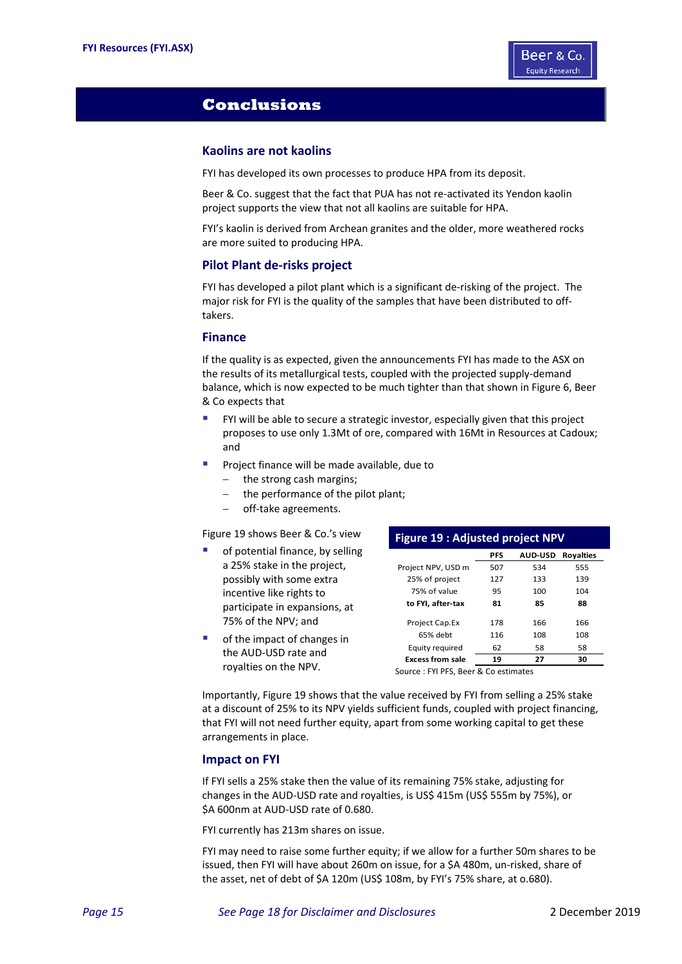

## **Conclusions**

## **Kaolins are not kaolins**

FYI has developed its own processes to produce HPA from its deposit.

Beer & Co. suggest that the fact that PUA has not re‐activated its Yendon kaolin project supports the view that not all kaolins are suitable for HPA.

FYI's kaolin is derived from Archean granites and the older, more weathered rocks are more suited to producing HPA.

#### **Pilot Plant de‐risks project**

FYI has developed a pilot plant which is a significant de-risking of the project. The major risk for FYI is the quality of the samples that have been distributed to off‐ takers.

#### **Finance**

If the quality is as expected, given the announcements FYI has made to the ASX on the results of its metallurgical tests, coupled with the projected supply‐demand balance, which is now expected to be much tighter than that shown in Figure 6, Beer & Co expects that

- FYI will be able to secure a strategic investor, especially given that this project proposes to use only 1.3Mt of ore, compared with 16Mt in Resources at Cadoux; and
- **Project finance will be made available, due to** 
	- $-$  the strong cash margins;
		- the performance of the pilot plant;
	- off-take agreements.

Figure 19 shows Beer & Co.'s view

- of potential finance, by selling a 25% stake in the project, possibly with some extra incentive like rights to participate in expansions, at 75% of the NPV; and
- of the impact of changes in the AUD‐USD rate and royalties on the NPV.

|                         | <b>Figure 19: Adjusted project NPV</b> |                |                  |  |  |  |  |  |  |  |  |
|-------------------------|----------------------------------------|----------------|------------------|--|--|--|--|--|--|--|--|
|                         | <b>PFS</b>                             | <b>AUD-USD</b> | <b>Royalties</b> |  |  |  |  |  |  |  |  |
| Project NPV, USD m      | 507                                    | 534            | 555              |  |  |  |  |  |  |  |  |
| 25% of project          | 127                                    | 133            | 139              |  |  |  |  |  |  |  |  |
| 75% of value            | 95                                     | 100            | 104              |  |  |  |  |  |  |  |  |
| to FYI. after-tax       | 81                                     | 85             | 88               |  |  |  |  |  |  |  |  |
| Project Cap.Ex          | 178                                    | 166            | 166              |  |  |  |  |  |  |  |  |
| 65% debt                | 116                                    | 108            | 108              |  |  |  |  |  |  |  |  |
| Equity required         | 62                                     | 58             | 58               |  |  |  |  |  |  |  |  |
| <b>Excess from sale</b> | 19                                     | 27             | 30               |  |  |  |  |  |  |  |  |
|                         |                                        |                |                  |  |  |  |  |  |  |  |  |

Source : FYI PFS, Beer & Co estimates

Importantly, Figure 19 shows that the value received by FYI from selling a 25% stake at a discount of 25% to its NPV yields sufficient funds, coupled with project financing, that FYI will not need further equity, apart from some working capital to get these arrangements in place.

#### **Impact on FYI**

If FYI sells a 25% stake then the value of its remaining 75% stake, adjusting for changes in the AUD‐USD rate and royalties, is US\$ 415m (US\$ 555m by 75%), or \$A 600nm at AUD-USD rate of 0.680.

FYI currently has 213m shares on issue.

FYI may need to raise some further equity; if we allow for a further 50m shares to be issued, then FYI will have about 260m on issue, for a \$A 480m, un‐risked, share of the asset, net of debt of \$A 120m (US\$ 108m, by FYI's 75% share, at o.680).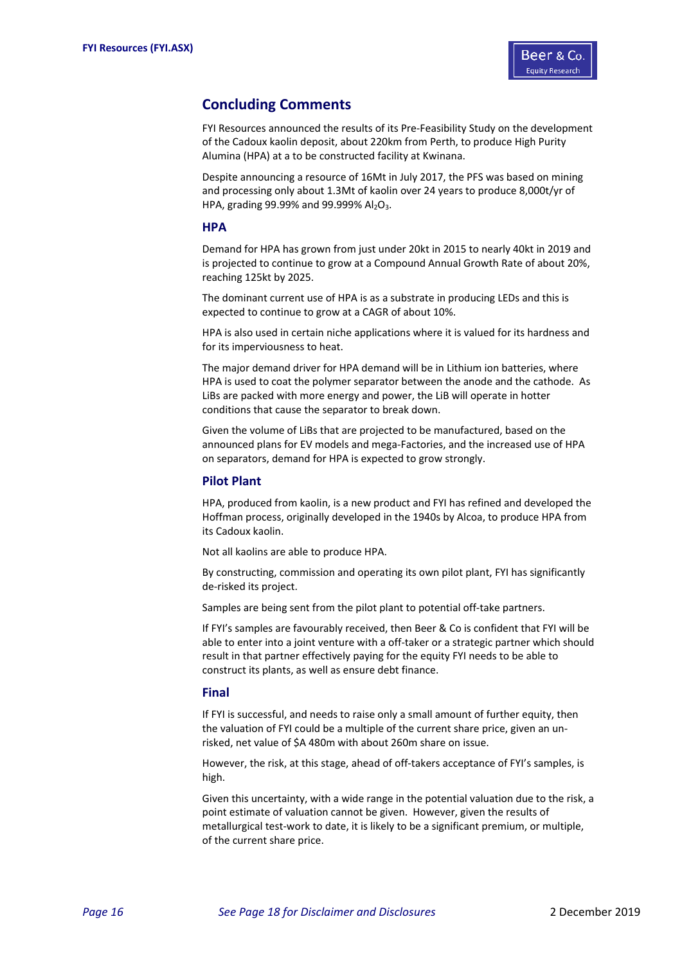

## **Concluding Comments**

FYI Resources announced the results of its Pre‐Feasibility Study on the development of the Cadoux kaolin deposit, about 220km from Perth, to produce High Purity Alumina (HPA) at a to be constructed facility at Kwinana.

Despite announcing a resource of 16Mt in July 2017, the PFS was based on mining and processing only about 1.3Mt of kaolin over 24 years to produce 8,000t/yr of HPA, grading 99.99% and 99.999%  $Al_2O_3$ .

#### **HPA**

Demand for HPA has grown from just under 20kt in 2015 to nearly 40kt in 2019 and is projected to continue to grow at a Compound Annual Growth Rate of about 20%, reaching 125kt by 2025.

The dominant current use of HPA is as a substrate in producing LEDs and this is expected to continue to grow at a CAGR of about 10%.

HPA is also used in certain niche applications where it is valued for its hardness and for its imperviousness to heat.

The major demand driver for HPA demand will be in Lithium ion batteries, where HPA is used to coat the polymer separator between the anode and the cathode. As LiBs are packed with more energy and power, the LiB will operate in hotter conditions that cause the separator to break down.

Given the volume of LiBs that are projected to be manufactured, based on the announced plans for EV models and mega‐Factories, and the increased use of HPA on separators, demand for HPA is expected to grow strongly.

#### **Pilot Plant**

HPA, produced from kaolin, is a new product and FYI has refined and developed the Hoffman process, originally developed in the 1940s by Alcoa, to produce HPA from its Cadoux kaolin.

Not all kaolins are able to produce HPA.

By constructing, commission and operating its own pilot plant, FYI has significantly de‐risked its project.

Samples are being sent from the pilot plant to potential off-take partners.

If FYI's samples are favourably received, then Beer & Co is confident that FYI will be able to enter into a joint venture with a off-taker or a strategic partner which should result in that partner effectively paying for the equity FYI needs to be able to construct its plants, as well as ensure debt finance.

#### **Final**

If FYI is successful, and needs to raise only a small amount of further equity, then the valuation of FYI could be a multiple of the current share price, given an un‐ risked, net value of \$A 480m with about 260m share on issue.

However, the risk, at this stage, ahead of off-takers acceptance of FYI's samples, is high.

Given this uncertainty, with a wide range in the potential valuation due to the risk, a point estimate of valuation cannot be given. However, given the results of metallurgical test‐work to date, it is likely to be a significant premium, or multiple, of the current share price.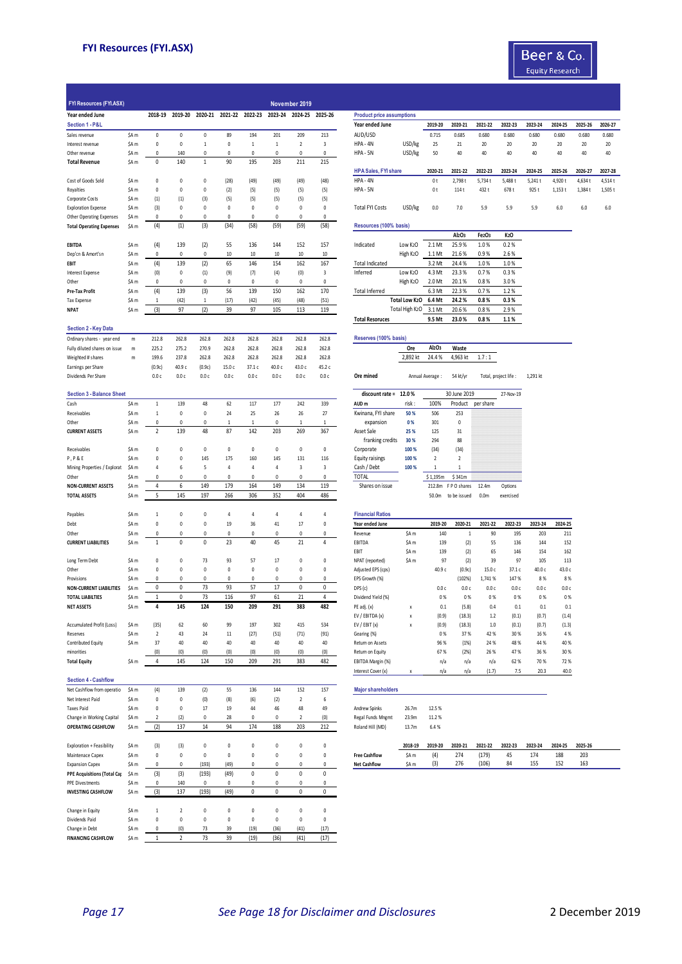

| <b>FYI Resources (FYI.ASX)</b>                                     |                           |                     |                         |                        |                       |                       |                       | November 2019           |                        |                                  |                           |                                |                                  |                                |                       |          |         |         |         |
|--------------------------------------------------------------------|---------------------------|---------------------|-------------------------|------------------------|-----------------------|-----------------------|-----------------------|-------------------------|------------------------|----------------------------------|---------------------------|--------------------------------|----------------------------------|--------------------------------|-----------------------|----------|---------|---------|---------|
| Year ended June                                                    |                           | 2018-19             | 2019-20                 | 2020-21                | 2021-22 2022-23       |                       | 2023-24               | 2024-25                 | 2025-26                | <b>Product price assumptions</b> |                           |                                |                                  |                                |                       |          |         |         |         |
| Section 1 - P&L                                                    |                           |                     |                         |                        |                       |                       |                       |                         |                        | Year ended June                  |                           | 2019-20                        | 2020-21                          | 2021-22                        | 2022-23               | 2023-24  | 2024-25 | 2025-26 | 2026-27 |
| Sales revenue                                                      | \$A <sub>m</sub>          | 0                   | 0                       | 0                      | 89                    | 194                   | 201                   | 209                     | 213                    | AUD/USD                          |                           | 0.715                          | 0.685                            | 0.680                          | 0.680                 | 0.680    | 0.680   | 0.680   | 0.680   |
| Interest revenue                                                   | \$A <sub>m</sub>          | 0                   | 0                       | $\mathbf{1}$           | $\pmb{0}$             | $\,1\,$               | $\mathbf{1}$          | $\overline{\mathbf{c}}$ | 3                      | HPA - 4N                         | USD/kg                    | 25                             | 21                               | 20                             | 20                    | 20       | 20      | 20      | 20      |
| Other revenue                                                      | \$A <sub>m</sub>          | 0                   | 140                     | $\theta$               | $\pmb{0}$             | 0                     | 0                     | 0                       | 0                      | HPA - 5N                         | USD/kg                    | 50                             | 40                               | 40                             | 40                    | 40       | 40      | 40      | 40      |
| <b>Total Revenue</b>                                               | \$A <sub>m</sub>          | 0                   | 140                     | $\mathbf{1}$           | 90                    | 195                   | 203                   | 211                     | 215                    |                                  |                           |                                |                                  |                                |                       |          |         |         |         |
|                                                                    |                           |                     |                         |                        |                       |                       |                       |                         |                        | <b>HPA Sales, FYI share</b>      |                           | 2020-21                        | 2021-22                          | 2022-23                        | 2023-24               | 2024-25  | 2025-26 | 2026-27 | 2027-28 |
| Cost of Goods Sold                                                 | \$A <sub>m</sub>          | 0                   | 0                       | 0                      | (28)                  | (49)                  | (49)                  | (49)                    | (48)                   | HPA - 4N                         |                           | 0t                             | 2,798 t                          | 5,734t                         | 5,488 t               | 5,241 t  | 4,920 t | 4,634 t | 4,514 t |
| Royalties                                                          | \$A <sub>m</sub>          | 0                   | 0                       | 0                      | (2)                   | (5)                   | (5)                   | (5)                     | (5)                    | HPA - 5N                         |                           | 0t                             | 114 t                            | 432 t                          | 678 t                 | 925 t    | 1,153 t | 1,384 t | 1,505 t |
| Corporate Costs                                                    | \$A <sub>m</sub>          | (1)                 | (1)                     | (3)                    | (5)                   | (5)                   | (5)                   | (5)                     | (5)                    |                                  |                           |                                |                                  |                                |                       |          |         |         |         |
| <b>Exploration Expense</b>                                         | \$A <sub>m</sub>          | (3)<br>$\mathbf 0$  | 0<br>0                  | $\pmb{0}$<br>$\pmb{0}$ | 0<br>$\Omega$         | 0<br>$\Omega$         | 0<br>0                | 0<br>0                  | $\pmb{0}$<br>$\pmb{0}$ | <b>Total FYI Costs</b>           | USD/kg                    | 0.0                            | 7.0                              | 5.9                            | 5.9                   | 5.9      | 6.0     | 6.0     | 6.0     |
| <b>Other Operating Expenses</b><br><b>Total Operating Expenses</b> | \$A m<br>\$A m            | (4)                 | (1)                     | (3)                    | (34)                  | (58)                  | (59)                  | (59)                    | (58)                   | Resources (100% basis)           |                           |                                |                                  |                                |                       |          |         |         |         |
|                                                                    |                           |                     |                         |                        |                       |                       |                       |                         |                        |                                  |                           |                                | Al <sub>2</sub> O <sub>3</sub>   | Fe <sub>2</sub> O <sub>3</sub> | K <sub>2</sub> O      |          |         |         |         |
| EBITDA                                                             | \$A m                     | (4)                 | 139                     | (2)                    | 55                    | 136                   | 144                   | 152                     | 157                    | Indicated                        | Low K2O                   | 2.1 Mt                         | 25.9%                            | 1.0%                           | 0.2%                  |          |         |         |         |
| Dep'cn & Amort'sn                                                  | \$A <sub>m</sub>          | 0                   | 0                       | $\mathbf 0$            | 10                    | 10                    | 10                    | 10                      | 10                     |                                  | High K <sub>2</sub> O     | 1.1 Mt                         | 21.6%                            | 0.9%                           | 2.6%                  |          |         |         |         |
| EBIT                                                               | \$A <sub>m</sub>          | (4)                 | 139                     | (2)                    | 65                    | 146                   | 154                   | 162                     | 167                    | <b>Total Indicated</b>           |                           | 3.2 Mt                         | 24.4%                            | 1.0%                           | 1.0%                  |          |         |         |         |
| Interest Expense                                                   | \$A <sub>m</sub>          | (0)                 | 0                       | (1)                    | (9)                   | (7)                   | (4)                   | (0)                     | 3                      | Inferred                         | Low K2O                   | 4.3 Mt                         | 23.3%                            | 0.7%                           | 0.3%                  |          |         |         |         |
| Other                                                              | \$A <sub>m</sub>          | 0                   | 0                       | $\mathbf 0$            | 0                     | 0                     | $\mathbf 0$           | 0                       | 0                      |                                  | High K <sub>2</sub> O     | 2.0 Mt                         | 20.1%                            | 0.8%                           | 3.0%                  |          |         |         |         |
| Pre-Tax Profit                                                     | \$A <sub>m</sub>          | (4)                 | 139                     | (3)                    | 56                    | 139                   | 150                   | 162                     | 170                    | <b>Total Inferred</b>            |                           | 6.3 Mt                         | 22.3%                            | 0.7%                           | 1.2%                  |          |         |         |         |
| <b>Tax Expense</b>                                                 | \$A <sub>m</sub>          | $\mathbf{1}$        | (42)                    | $\mathbf{1}$           | (17)                  | (42)                  | (45)                  | (48)                    | (51)                   |                                  | <b>Total Low K2O</b>      | 6.4 Mt                         | 24.2%                            | 0.8%                           | 0.3%                  |          |         |         |         |
| <b>NPAT</b>                                                        | \$A <sub>m</sub>          | (3)                 | 97                      | (2)                    | 39                    | 97                    | 105                   | 113                     | 119                    |                                  | Total High K2O            | 3.1 Mt                         | 20.6%                            | 0.8%                           | 2.9%                  |          |         |         |         |
|                                                                    |                           |                     |                         |                        |                       |                       |                       |                         |                        | <b>Total Resoruces</b>           |                           | 9.5 Mt                         | 23.0%                            | 0.8%                           | 1.1%                  |          |         |         |         |
| <b>Section 2 - Key Data</b>                                        |                           |                     |                         |                        |                       |                       |                       |                         |                        |                                  |                           |                                |                                  |                                |                       |          |         |         |         |
| Ordinary shares - year end                                         | m                         | 212.8               | 262.8                   | 262.8                  | 262.8                 | 262.8                 | 262.8                 | 262.8                   | 262.8                  | Reserves (100% basis)            |                           |                                |                                  |                                |                       |          |         |         |         |
| Fully diluted shares on issue                                      | m                         | 225.2               | 275.2                   | 270.9                  | 262.8                 | 262.8                 | 262.8                 | 262.8                   | 262.8                  |                                  | Ore                       | Al <sub>2</sub> O <sub>3</sub> | Waste                            |                                |                       |          |         |         |         |
| Weighted # shares                                                  | m                         | 199.6               | 237.8                   | 262.8                  | 262.8                 | 262.8                 | 262.8                 | 262.8                   | 262.8                  |                                  | 2,892 kt                  | 24.4%                          | 4,963 kt                         | 1.7:1                          |                       |          |         |         |         |
| Earnings per Share                                                 |                           | (0.9c)              | 40.9 с                  | (0.9c)                 | 15.0 c                | 37.1 c                | 40.0 с                | 43.0 с                  | 45.2 c                 |                                  |                           |                                |                                  |                                |                       |          |         |         |         |
| Dividends Per Share                                                |                           | 0.0c                | 0.0c                    | 0.0c                   | 0.0c                  | 0.0c                  | 0.0c                  | 0.0c                    | 0.0c                   | Ore mined                        |                           | Annual Average:                | 54 kt/yr                         |                                | Total, project life : | 1,291 kt |         |         |         |
|                                                                    |                           |                     |                         |                        |                       |                       |                       |                         |                        |                                  |                           |                                |                                  |                                |                       |          |         |         |         |
| <b>Section 3 - Balance Sheet</b>                                   |                           |                     |                         |                        |                       |                       |                       |                         |                        | discount rate = 12.0%            |                           |                                | 30 June 2019                     |                                | 27-Nov-19             |          |         |         |         |
| Cash                                                               | \$A <sub>m</sub>          | $\,1\,$             | 139                     | 48                     | 62                    | 117                   | 177                   | 242                     | 339                    | AUD <sub>m</sub>                 | risk:                     | 100%                           | Product                          | per share                      |                       |          |         |         |         |
| Receivables                                                        | \$A <sub>m</sub>          | $1\,$               | 0                       | 0                      | 24                    | 25                    | 26                    | 26                      | 27                     | Kwinana, FYI share               | 50 %                      | 506                            | 253                              |                                |                       |          |         |         |         |
| Other                                                              | \$A <sub>m</sub>          | $\pmb{0}$           | 0                       | $\mathbf{0}$           | $\mathbf{1}$          | $1\,$                 | $\pmb{0}$             | $\mathbf{1}$            | $\mathbf{1}$           | expansion                        | 0%                        | 301                            | $\pmb{0}$                        |                                |                       |          |         |         |         |
| <b>CURRENT ASSETS</b>                                              | \$A m                     | $\overline{2}$      | 139                     | 48                     | 87                    | 142                   | 203                   | 269                     | 367                    | Asset Sale                       | 25 %                      | 125                            | 31                               |                                |                       |          |         |         |         |
|                                                                    |                           |                     |                         |                        |                       |                       |                       |                         |                        | franking credits                 | 30 %                      | 294                            | 88                               |                                |                       |          |         |         |         |
| Receivables                                                        | \$A <sub>m</sub>          | 0                   | 0                       | $\theta$               | 0                     | 0                     | 0                     | 0                       | $\pmb{0}$              | Corporate                        | 100 %                     | (34)                           | (34)                             |                                |                       |          |         |         |         |
| <b>P, P&amp;E</b>                                                  | \$A <sub>m</sub>          | 0<br>$\overline{4}$ | 0                       | 145<br>5               | 175<br>$\overline{4}$ | 160<br>$\overline{4}$ | 145<br>$\overline{4}$ | 131<br>3                | 116<br>3               | <b>Equity raisings</b>           | 100 %                     | $\overline{2}$<br>$\mathbf{1}$ | $\overline{2}$<br>$\overline{1}$ |                                |                       |          |         |         |         |
| Mining Properties / Explorat                                       | \$A m<br>\$A <sub>m</sub> | 0                   | 6<br>0                  | $\mathbf 0$            | 0                     | 0                     | 0                     | 0                       | $\pmb{0}$              | Cash / Debt<br><b>TOTAL</b>      | 100 %                     |                                |                                  |                                |                       |          |         |         |         |
| Other<br><b>NON-CURRENT ASSETS</b>                                 | \$A <sub>m</sub>          | 4                   | 6                       | 149                    | 179                   | 164                   | 149                   | 134                     | 119                    | Shares on issue                  |                           | \$1,195m<br>212.8m             | \$341m<br>FPO shares             | 12.4m                          |                       |          |         |         |         |
| <b>TOTAL ASSETS</b>                                                | \$A <sub>m</sub>          | 5                   | 145                     | 197                    | 266                   | 306                   | 352                   | 404                     | 486                    |                                  |                           | 50.0m                          | to be issued                     | 0.0 <sub>m</sub>               | Options<br>exercised  |          |         |         |         |
|                                                                    |                           |                     |                         |                        |                       |                       |                       |                         |                        |                                  |                           |                                |                                  |                                |                       |          |         |         |         |
| Payables                                                           | \$A <sub>m</sub>          | $\mathbf{1}$        | 0                       | 0                      | $\overline{4}$        | 4                     | 4                     | 4                       | 4                      | <b>Financial Ratios</b>          |                           |                                |                                  |                                |                       |          |         |         |         |
| Debt                                                               | \$A <sub>m</sub>          | $\pmb{0}$           | 0                       | $\pmb{0}$              | 19                    | 36                    | $41\,$                | 17                      | $\pmb{0}$              | Year ended June                  |                           | 2019-20                        | 2020-21                          | 2021-22                        | 2022-23               | 2023-24  | 2024-25 |         |         |
| Other                                                              | \$A m                     | 0                   | 0                       | $\theta$               | 0                     | 0                     | 0                     | 0                       | 0                      | Revenue                          | \$A <sub>m</sub>          | 140                            | $\mathbf{1}$                     | 90                             | 195                   | 203      | 211     |         |         |
| <b>CURRENT LIABILITIES</b>                                         | \$A <sub>m</sub>          | $\mathbf{1}$        | 0                       | $\pmb{0}$              | 23                    | 40                    | 45                    | 21                      | 4                      | EBITDA                           | \$A <sub>m</sub>          | 139                            | (2)                              | 55                             | 136                   | 144      | 152     |         |         |
|                                                                    |                           |                     |                         |                        |                       |                       |                       |                         |                        | EBIT                             | \$A <sub>m</sub>          | 139                            | (2)                              | 65                             | 146                   | 154      | 162     |         |         |
| Long Term Debt                                                     | \$A <sub>m</sub>          | 0                   | 0                       | 73                     | 93                    | 57                    | 17                    | 0                       | 0                      | NPAT (reported)                  | \$A <sub>m</sub>          | 97                             | (2)                              | 39                             | 97                    | 105      | 113     |         |         |
| Other                                                              | \$A <sub>m</sub>          | 0                   | 0                       | $\mathbf{0}$           | 0                     | 0                     | 0                     | 0                       | $\pmb{0}$              | Adjusted EPS (cps)               |                           | 40.9 с                         | (0.9c)                           | 15.0 c                         | 37.1 c                | 40.0 с   | 43.0 с  |         |         |
| Provisions                                                         | \$A <sub>m</sub>          | 0                   | 0                       | 0                      | 0                     | 0                     | 0                     | 0                       | 0                      | EPS Growth (%)                   |                           |                                | (102%)                           | 1,741 %                        | 147%                  | 8%       | 8%      |         |         |
| <b>NON-CURRENT LIABILITIES</b>                                     | \$A m                     | 0                   | 0                       | 73                     | 93                    | 57                    | 17                    | 0                       | 0                      | DPS (c)                          |                           | 0.0c                           | 0.0c                             | 0.0 <sub>c</sub>               | 0.0c                  | 0.0c     | 0.0 с   |         |         |
| <b>TOTAL LIABILTIES</b>                                            | \$A <sub>m</sub>          | 1                   | 0                       | 73                     | 116                   | 97                    | 61                    | 21                      | 4                      | Dividend Yield (%)               |                           | 0%                             | 0%                               | 0%                             | 0%                    | 0%       | 0%      |         |         |
| <b>NET ASSETS</b>                                                  | \$A <sub>m</sub>          | 4                   | 145                     | 124                    | 150                   | 209                   | 291                   | 383                     | 482                    | PE adj. (x)                      | X                         | 0.1                            | (5.8)                            | 0.4                            | 0.1                   | 0.1      | 0.1     |         |         |
|                                                                    |                           |                     |                         |                        |                       |                       |                       |                         |                        | EV / EBITDA (x)                  |                           | (0.9)                          | (18.3)                           | 1.2                            | (0.1)                 | (0.7)    | (1.4)   |         |         |
| Accumulated Profit (Loss)                                          | \$A <sub>m</sub>          | (35)                | 62                      | 60                     | 99                    | 197                   | 302                   | 415                     | 534                    | EV / EBIT (x)                    | $\boldsymbol{\mathsf{x}}$ | (0.9)                          | (18.3)                           | 1.0                            | (0.1)                 | (0.7)    | (1.3)   |         |         |
| Reserves                                                           | \$A <sub>m</sub>          | $\sqrt{2}$          | 43                      | 24                     | $11\,$                | (27)                  | (51)                  | (71)                    | (91)                   | Gearing (%)                      |                           | 0%                             | 37%                              | 42 %                           | 30%                   | 16%      | 4 %     |         |         |
| Contributed Equity                                                 | \$A m                     | 37                  | 40                      | 40                     | 40                    | 40                    | 40                    | 40                      | 40                     | Return on Assets                 |                           | 96 %                           | (1%)                             | 24 %                           | 48 %                  | 44 %     | 40%     |         |         |
| minorities                                                         |                           | (0)                 | (0)                     | (0)                    | (0)                   | (0)                   | (0)<br>291            | (0)                     | (0)                    | Return on Equity                 |                           | 67%                            | (2%)                             | 26 %                           | 47%                   | 36 %     | 30%     |         |         |
| <b>Total Equity</b>                                                | \$A <sub>m</sub>          | 4                   | 145                     | 124                    | 150                   | 209                   |                       | 383                     | 482                    | EBITDA Margin (%)                |                           | n/a                            | n/a                              | n/a                            | 62%                   | 70 %     | 72 %    |         |         |
|                                                                    |                           |                     |                         |                        |                       |                       |                       |                         |                        | Interest Cover (x)               | X                         | n/a                            | n/a                              | (1.7)                          | 7.5                   | 20.3     | 40.0    |         |         |
| <b>Section 4 - Cashflow</b>                                        |                           |                     |                         |                        |                       |                       |                       |                         |                        |                                  |                           |                                |                                  |                                |                       |          |         |         |         |
| Net Cashflow from operatio                                         | \$A <sub>m</sub>          | (4)                 | 139                     | (2)                    | 55                    | 136                   | 144                   | 152                     | 157                    | <b>Major shareholders</b>        |                           |                                |                                  |                                |                       |          |         |         |         |
| Net Interest Paid                                                  | \$A <sub>m</sub>          | 0                   | 0                       | (0)                    | (8)                   | (6)                   | (2)                   | $\overline{2}$          | 6                      |                                  |                           |                                |                                  |                                |                       |          |         |         |         |
| <b>Taxes Paid</b>                                                  | \$A <sub>m</sub>          | 0                   | 0                       | 17<br>$\pmb{0}$        | 19<br>28              | 44                    | 46<br>$\pmb{0}$       | 48<br>$\overline{2}$    | 49                     | Andrew Spinks                    | 26.7m                     | 12.5%                          |                                  |                                |                       |          |         |         |         |
| Change in Working Capital                                          | \$A m                     | $\sqrt{2}$<br>(2)   | (2)<br>137              | 14                     | 94                    | 0<br>174              | 188                   | 203                     | (0)<br>212             | Regal Funds Mngmt                | 23.9m                     | 11.2%                          |                                  |                                |                       |          |         |         |         |
| <b>OPERATING CASHFLOW</b>                                          | \$A <sub>m</sub>          |                     |                         |                        |                       |                       |                       |                         |                        | Roland Hill (MD)                 | 13.7m                     | 6.4%                           |                                  |                                |                       |          |         |         |         |
| Exploration + Feasibility                                          | \$A <sub>m</sub>          | (3)                 | (3)                     | $\pmb{0}$              | 0                     | $\pmb{0}$             | 0                     | 0                       | $\pmb{0}$              |                                  | 2018-19                   | 2019-20                        | 2020-21                          | 2021-22                        | 2022-23               | 2023-24  | 2024-25 | 2025-26 |         |
| Maintenace Capex                                                   | \$A <sub>m</sub>          | 0                   | 0                       | $\pmb{0}$              | $\pmb{0}$             | 0                     | 0                     | 0                       | $\pmb{0}$              | <b>Free Cashflow</b>             | \$A <sub>m</sub>          | (4)                            | 274                              | (179)                          | 45                    | 174      | 188     | 203     |         |
| <b>Expansion Capex</b>                                             | \$A <sub>m</sub>          | 0                   | 0                       | (193)                  | (49)                  | 0                     | 0                     | 0                       | 0                      | <b>Net Cashflow</b>              | \$A <sub>m</sub>          | (3)                            | 276                              | (106)                          | 84                    | 155      | 152     | 163     |         |
| <b>PPE Acquisitions (Total Cap</b>                                 | \$A m                     | (3)                 | (3)                     | (193)                  | (49)                  | 0                     | 0                     | $\pmb{0}$               | $\pmb{0}$              |                                  |                           |                                |                                  |                                |                       |          |         |         |         |
| <b>PPE Divestments</b>                                             | \$A m                     | 0                   | 140                     | 0                      | 0                     | 0                     | 0                     | 0                       | 0                      |                                  |                           |                                |                                  |                                |                       |          |         |         |         |
| <b>INVESTING CASHFLOW</b>                                          | \$A m                     | (3)                 | 137                     | (193)                  | (49)                  | 0                     | $\mathbf 0$           | $\mathbf 0$             | 0                      |                                  |                           |                                |                                  |                                |                       |          |         |         |         |
|                                                                    |                           |                     |                         |                        |                       |                       |                       |                         |                        |                                  |                           |                                |                                  |                                |                       |          |         |         |         |
|                                                                    |                           |                     |                         |                        |                       |                       |                       |                         |                        |                                  |                           |                                |                                  |                                |                       |          |         |         |         |
|                                                                    | \$A <sub>m</sub>          | $\mathbf{1}$        | $\overline{\mathbf{c}}$ | $\mathbf{0}$           | 0                     | $\pmb{0}$             | 0                     | 0                       | $\pmb{0}$              |                                  |                           |                                |                                  |                                |                       |          |         |         |         |
|                                                                    | \$A <sub>m</sub>          | $\pmb{0}$           | 0                       | $\pmb{0}$              | $\pmb{0}$             | $\pmb{0}$             | $\pmb{0}$             | $\pmb{0}$               | $\pmb{0}$              |                                  |                           |                                |                                  |                                |                       |          |         |         |         |
| Change in Equity<br>Dividends Paid<br>Change in Debt               | \$A m                     | 0                   | (0)                     | 73                     | 39                    | (19)                  | (36)                  | (41)                    | (17)                   |                                  |                           |                                |                                  |                                |                       |          |         |         |         |